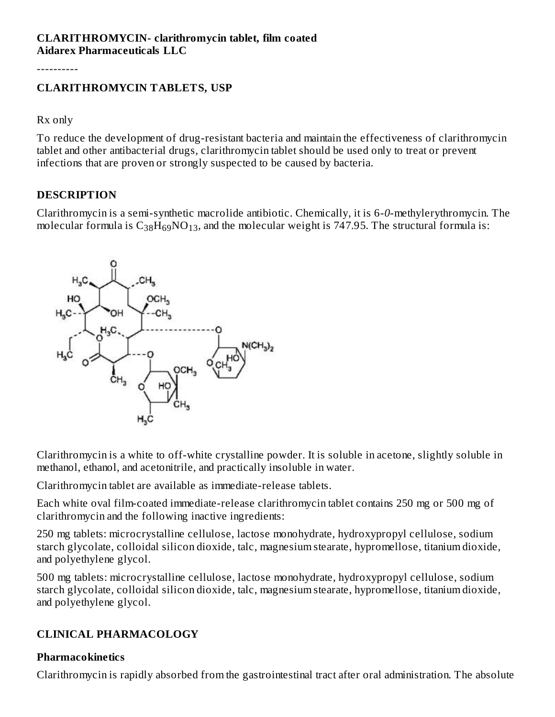#### **CLARITHROMYCIN- clarithromycin tablet, film coated Aidarex Pharmaceuticals LLC**

----------

#### **CLARITHROMYCIN TABLETS, USP**

Rx only

To reduce the development of drug-resistant bacteria and maintain the effectiveness of clarithromycin tablet and other antibacterial drugs, clarithromycin tablet should be used only to treat or prevent infections that are proven or strongly suspected to be caused by bacteria.

#### **DESCRIPTION**

Clarithromycin is a semi-synthetic macrolide antibiotic. Chemically, it is 6-*0*-methylerythromycin. The molecular formula is  $\rm{C_{38}H_{69}NO_{13}}$ , and the molecular weight is 747.95. The structural formula is:



Clarithromycin is a white to off-white crystalline powder. It is soluble in acetone, slightly soluble in methanol, ethanol, and acetonitrile, and practically insoluble in water.

Clarithromycin tablet are available as immediate-release tablets.

Each white oval film-coated immediate-release clarithromycin tablet contains 250 mg or 500 mg of clarithromycin and the following inactive ingredients:

250 mg tablets: microcrystalline cellulose, lactose monohydrate, hydroxypropyl cellulose, sodium starch glycolate, colloidal silicon dioxide, talc, magnesium stearate, hypromellose, titanium dioxide, and polyethylene glycol.

500 mg tablets: microcrystalline cellulose, lactose monohydrate, hydroxypropyl cellulose, sodium starch glycolate, colloidal silicon dioxide, talc, magnesium stearate, hypromellose, titanium dioxide, and polyethylene glycol.

# **CLINICAL PHARMACOLOGY**

#### **Pharmacokinetics**

Clarithromycin is rapidly absorbed from the gastrointestinal tract after oral administration. The absolute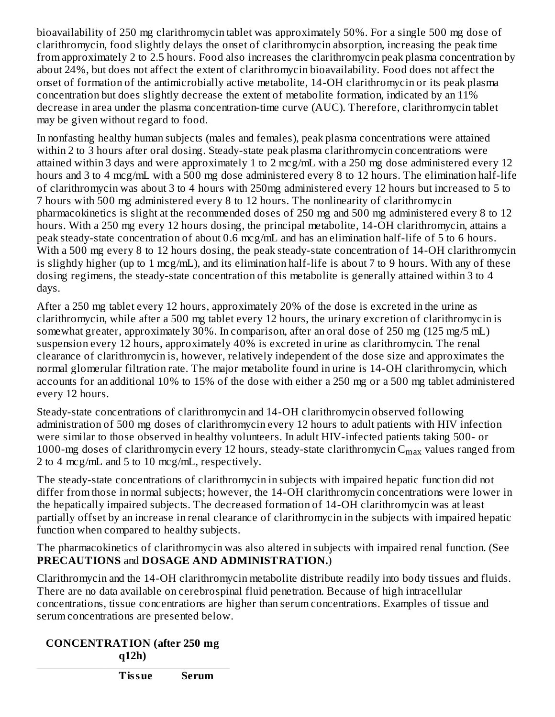bioavailability of 250 mg clarithromycin tablet was approximately 50%. For a single 500 mg dose of clarithromycin, food slightly delays the onset of clarithromycin absorption, increasing the peak time from approximately 2 to 2.5 hours. Food also increases the clarithromycin peak plasma concentration by about 24%, but does not affect the extent of clarithromycin bioavailability. Food does not affect the onset of formation of the antimicrobially active metabolite, 14-OH clarithromycin or its peak plasma concentration but does slightly decrease the extent of metabolite formation, indicated by an 11% decrease in area under the plasma concentration-time curve (AUC). Therefore, clarithromycin tablet may be given without regard to food.

In nonfasting healthy human subjects (males and females), peak plasma concentrations were attained within 2 to 3 hours after oral dosing. Steady-state peak plasma clarithromycin concentrations were attained within 3 days and were approximately 1 to 2 mcg/mL with a 250 mg dose administered every 12 hours and 3 to 4 mcg/mL with a 500 mg dose administered every 8 to 12 hours. The elimination half-life of clarithromycin was about 3 to 4 hours with 250mg administered every 12 hours but increased to 5 to 7 hours with 500 mg administered every 8 to 12 hours. The nonlinearity of clarithromycin pharmacokinetics is slight at the recommended doses of 250 mg and 500 mg administered every 8 to 12 hours. With a 250 mg every 12 hours dosing, the principal metabolite, 14-OH clarithromycin, attains a peak steady-state concentration of about 0.6 mcg/mL and has an elimination half-life of 5 to 6 hours. With a 500 mg every 8 to 12 hours dosing, the peak steady-state concentration of 14-OH clarithromycin is slightly higher (up to 1 mcg/mL), and its elimination half-life is about 7 to 9 hours. With any of these dosing regimens, the steady-state concentration of this metabolite is generally attained within 3 to 4 days.

After a 250 mg tablet every 12 hours, approximately 20% of the dose is excreted in the urine as clarithromycin, while after a 500 mg tablet every 12 hours, the urinary excretion of clarithromycin is somewhat greater, approximately 30%. In comparison, after an oral dose of 250 mg (125 mg/5 mL) suspension every 12 hours, approximately 40% is excreted in urine as clarithromycin. The renal clearance of clarithromycin is, however, relatively independent of the dose size and approximates the normal glomerular filtration rate. The major metabolite found in urine is 14-OH clarithromycin, which accounts for an additional 10% to 15% of the dose with either a 250 mg or a 500 mg tablet administered every 12 hours.

Steady-state concentrations of clarithromycin and 14-OH clarithromycin observed following administration of 500 mg doses of clarithromycin every 12 hours to adult patients with HIV infection were similar to those observed in healthy volunteers. In adult HIV-infected patients taking 500- or 1000-mg doses of clarithromycin every 12 hours, steady-state clarithromycin  $\rm{C_{max}}$  values ranged from 2 to 4 mcg/mL and 5 to 10 mcg/mL, respectively.

The steady-state concentrations of clarithromycin in subjects with impaired hepatic function did not differ from those in normal subjects; however, the 14-OH clarithromycin concentrations were lower in the hepatically impaired subjects. The decreased formation of 14-OH clarithromycin was at least partially offset by an increase in renal clearance of clarithromycin in the subjects with impaired hepatic function when compared to healthy subjects.

The pharmacokinetics of clarithromycin was also altered in subjects with impaired renal function. (See **PRECAUTIONS** and **DOSAGE AND ADMINISTRATION.**)

Clarithromycin and the 14-OH clarithromycin metabolite distribute readily into body tissues and fluids. There are no data available on cerebrospinal fluid penetration. Because of high intracellular concentrations, tissue concentrations are higher than serum concentrations. Examples of tissue and serum concentrations are presented below.

# **CONCENTRATION (after 250 mg q12h)**

**Tissue Serum**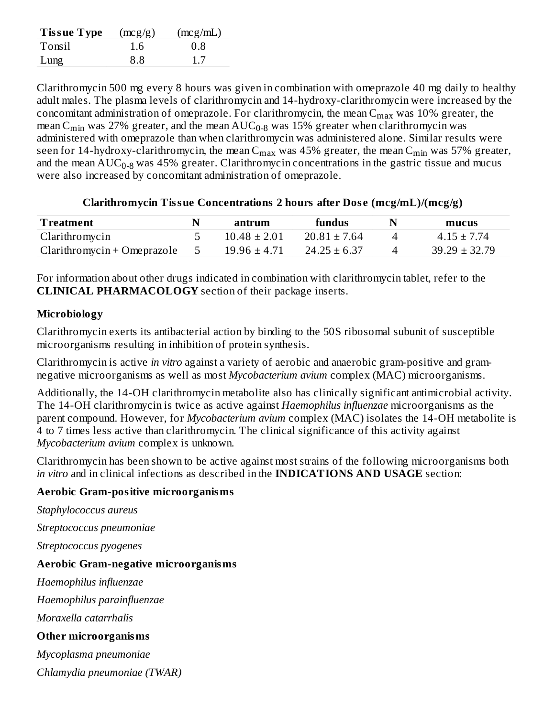| <b>Tissue Type</b> | (mcg/g) | (mcg/mL) |
|--------------------|---------|----------|
| Tonsil             | 1.6     | 0.8      |
| Lung               | 8.8     | 1.7      |

Clarithromycin 500 mg every 8 hours was given in combination with omeprazole 40 mg daily to healthy adult males. The plasma levels of clarithromycin and 14-hydroxy-clarithromycin were increased by the concomitant administration of omeprazole. For clarithromycin, the mean  $\rm{C_{max}}$  was  $10\%$  greater, the mean C $_{\rm min}$  was 27% greater, and the mean  $\rm AUC_{0.8}$  was 15% greater when clarithromycin was administered with omeprazole than when clarithromycin was administered alone. Similar results were seen for 14-hydroxy-clarithromycin, the mean  $\rm{C_{max}}$  was 45% greater, the mean  $\rm{C_{min}}$  was 57% greater, and the mean  $\mathrm{AUC_{0-8}}$  was 45% greater. Clarithromycin concentrations in the gastric tissue and mucus were also increased by concomitant administration of omeprazole.

| Treatment                   |              | antrum           | fundus           | mucus             |
|-----------------------------|--------------|------------------|------------------|-------------------|
| Clarithromycin              |              | $10.48 + 2.01$   | $20.81 \pm 7.64$ | $4.15 + 7.74$     |
| Clarithromycin + Omeprazole | $\mathbf{p}$ | $19.96 \pm 4.71$ | $24.25 \pm 6.37$ | $39.29 \pm 32.79$ |

#### **Clarithromycin Tissue Concentrations 2 hours after Dos e (mcg/mL)/(mcg/g)**

For information about other drugs indicated in combination with clarithromycin tablet, refer to the **CLINICAL PHARMACOLOGY** section of their package inserts.

#### **Microbiology**

Clarithromycin exerts its antibacterial action by binding to the 50S ribosomal subunit of susceptible microorganisms resulting in inhibition of protein synthesis.

Clarithromycin is active *in vitro* against a variety of aerobic and anaerobic gram-positive and gramnegative microorganisms as well as most *Mycobacterium avium* complex (MAC) microorganisms.

Additionally, the 14-OH clarithromycin metabolite also has clinically significant antimicrobial activity. The 14-OH clarithromycin is twice as active against *Haemophilus influenzae* microorganisms as the parent compound. However, for *Mycobacterium avium* complex (MAC) isolates the 14-OH metabolite is 4 to 7 times less active than clarithromycin. The clinical significance of this activity against *Mycobacterium avium* complex is unknown.

Clarithromycin has been shown to be active against most strains of the following microorganisms both *in vitro* and in clinical infections as described in the **INDICATIONS AND USAGE** section:

#### **Aerobic Gram-positive microorganisms**

*Staphylococcus aureus*

*Streptococcus pneumoniae*

*Streptococcus pyogenes*

#### **Aerobic Gram-negative microorganisms**

*Haemophilus influenzae*

*Haemophilus parainfluenzae*

*Moraxella catarrhalis*

#### **Other microorganisms**

*Mycoplasma pneumoniae*

*Chlamydia pneumoniae (TWAR)*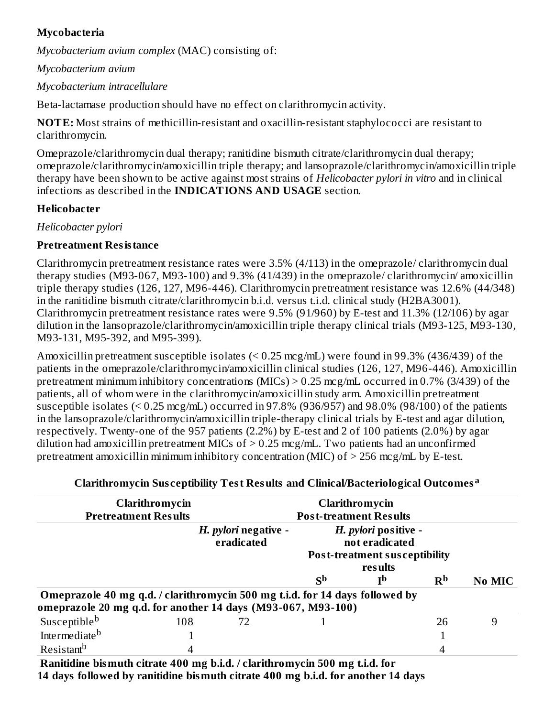# **Mycobacteria**

*Mycobacterium avium complex* (MAC) consisting of:

*Mycobacterium avium*

*Mycobacterium intracellulare*

Beta-lactamase production should have no effect on clarithromycin activity.

**NOTE:** Most strains of methicillin-resistant and oxacillin-resistant staphylococci are resistant to clarithromycin.

Omeprazole/clarithromycin dual therapy; ranitidine bismuth citrate/clarithromycin dual therapy; omeprazole/clarithromycin/amoxicillin triple therapy; and lansoprazole/clarithromycin/amoxicillin triple therapy have been shown to be active against most strains of *Helicobacter pylori in vitro* and in clinical infections as described in the **INDICATIONS AND USAGE** section.

# **Helicobacter**

*Helicobacter pylori*

# **Pretreatment Resistance**

Clarithromycin pretreatment resistance rates were 3.5% (4/113) in the omeprazole/ clarithromycin dual therapy studies (M93-067, M93-100) and 9.3% (41/439) in the omeprazole/ clarithromycin/ amoxicillin triple therapy studies (126, 127, M96-446). Clarithromycin pretreatment resistance was 12.6% (44/348) in the ranitidine bismuth citrate/clarithromycin b.i.d. versus t.i.d. clinical study (H2BA3001). Clarithromycin pretreatment resistance rates were 9.5% (91/960) by E-test and 11.3% (12/106) by agar dilution in the lansoprazole/clarithromycin/amoxicillin triple therapy clinical trials (M93-125, M93-130, M93-131, M95-392, and M95-399).

Amoxicillin pretreatment susceptible isolates (< 0.25 mcg/mL) were found in 99.3% (436/439) of the patients in the omeprazole/clarithromycin/amoxicillin clinical studies (126, 127, M96-446). Amoxicillin pretreatment minimum inhibitory concentrations (MICs)  $> 0.25$  mcg/mL occurred in 0.7% (3/439) of the patients, all of whom were in the clarithromycin/amoxicillin study arm. Amoxicillin pretreatment susceptible isolates ( $0.25$  mcg/mL) occurred in 97.8% (936/957) and 98.0% (98/100) of the patients in the lansoprazole/clarithromycin/amoxicillin triple-therapy clinical trials by E-test and agar dilution, respectively. Twenty-one of the 957 patients (2.2%) by E-test and 2 of 100 patients (2.0%) by agar dilution had amoxicillin pretreatment MICs of  $> 0.25$  mcg/mL. Two patients had an unconfirmed pretreatment amoxicillin minimum inhibitory concentration (MIC) of  $>$  256 mcg/mL by E-test.

|  |  | Clarithromycin Susceptibility Test Results and Clinical/Bacteriological Outcomes <sup>a</sup> |
|--|--|-----------------------------------------------------------------------------------------------|
|  |  |                                                                                               |

| Clarithromycin<br><b>Pretreatment Results</b>                                                                                                |                                           |                  | Clarithromycin<br><b>Post-treatment Results</b>                                           |                |        |
|----------------------------------------------------------------------------------------------------------------------------------------------|-------------------------------------------|------------------|-------------------------------------------------------------------------------------------|----------------|--------|
|                                                                                                                                              | H. <i>pylori</i> negative -<br>eradicated |                  | H. <i>pylori</i> positive -<br>not eradicated<br>Post-treatment susceptibility<br>results |                |        |
|                                                                                                                                              |                                           | $S^{\mathbf{b}}$ | <b>TD</b>                                                                                 | R <sub>b</sub> | No MIC |
| Omeprazole 40 mg q.d. / clarithromycin 500 mg t.i.d. for 14 days followed by<br>omeprazole 20 mg q.d. for another 14 days (M93-067, M93-100) |                                           |                  |                                                                                           |                |        |
| Susceptible <sup>b</sup>                                                                                                                     | 108<br>72                                 |                  |                                                                                           | 26             | 9      |
| Intermediate <sup>b</sup>                                                                                                                    |                                           |                  |                                                                                           |                |        |
| Resistant <sup>b</sup>                                                                                                                       |                                           |                  |                                                                                           |                |        |

**Ranitidine bismuth citrate 400 mg b.i.d. / clarithromycin 500 mg t.i.d. for 14 days followed by ranitidine bismuth citrate 400 mg b.i.d. for another 14 days**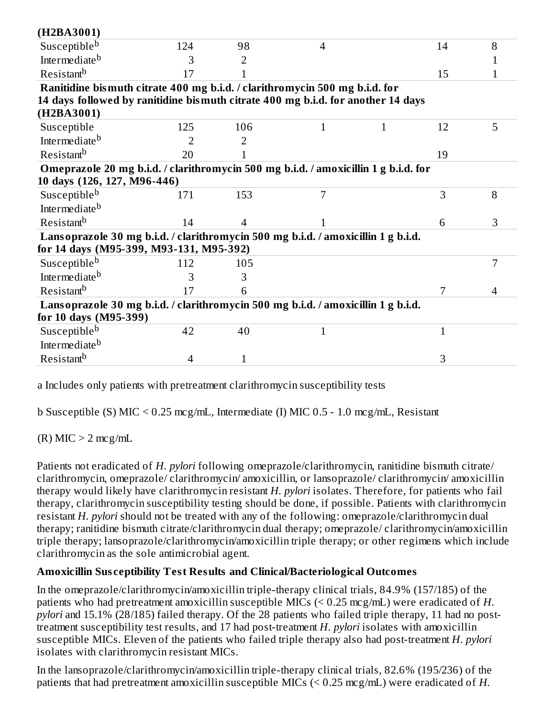| (H2BA3001)                                                                          |     |     |             |    |   |
|-------------------------------------------------------------------------------------|-----|-----|-------------|----|---|
| Susceptibleb                                                                        | 124 | 98  | 4           | 14 | 8 |
| Intermediate <sup>b</sup>                                                           | 3   |     |             |    |   |
| Resistant <sup>b</sup>                                                              | 17  |     |             | 15 |   |
| Ranitidine bismuth citrate 400 mg b.i.d. / clarithromycin 500 mg b.i.d. for         |     |     |             |    |   |
| 14 days followed by ranitidine bismuth citrate 400 mg b.i.d. for another 14 days    |     |     |             |    |   |
| (H2BA3001)                                                                          |     |     |             |    |   |
| Susceptible                                                                         | 125 | 106 | 1           | 12 | 5 |
| Intermediate <sup>b</sup>                                                           |     | 2   |             |    |   |
| Resistant <sup>b</sup>                                                              | 20  |     |             | 19 |   |
| Omeprazole 20 mg b.i.d. / clarithromycin 500 mg b.i.d. / amoxicillin 1 g b.i.d. for |     |     |             |    |   |
| 10 days (126, 127, M96-446)                                                         |     |     |             |    |   |
| Susceptibleb                                                                        | 171 | 153 | 7           | 3  | 8 |
| Intermediate <sup>b</sup>                                                           |     |     |             |    |   |
| Resistantb                                                                          | 14  | 4   | 1           | 6  | 3 |
| Lansoprazole 30 mg b.i.d. / clarithromycin 500 mg b.i.d. / amoxicillin 1 g b.i.d.   |     |     |             |    |   |
| for 14 days (M95-399, M93-131, M95-392)                                             |     |     |             |    |   |
| Susceptible <sup>b</sup>                                                            | 112 | 105 |             |    | 7 |
| Intermediate <sup>b</sup>                                                           | 3   | З   |             |    |   |
| Resistant <sup>b</sup>                                                              | 17  | 6   |             | 7  | 4 |
| Lansoprazole 30 mg b.i.d. / clarithromycin 500 mg b.i.d. / amoxicillin 1 g b.i.d.   |     |     |             |    |   |
| for 10 days (M95-399)                                                               |     |     |             |    |   |
| Susceptibleb                                                                        | 42  | 40  | $\mathbf 1$ | 1  |   |
| Intermediate <sup>b</sup>                                                           |     |     |             |    |   |
| Resistant <sup>b</sup>                                                              | 4   | 1   |             | 3  |   |
|                                                                                     |     |     |             |    |   |

a Includes only patients with pretreatment clarithromycin susceptibility tests

b Susceptible (S) MIC < 0.25 mcg/mL, Intermediate (I) MIC 0.5 - 1.0 mcg/mL, Resistant

 $(R)$  MIC  $> 2$  mcg/mL

Patients not eradicated of *H. pylori* following omeprazole/clarithromycin, ranitidine bismuth citrate/ clarithromycin, omeprazole/ clarithromycin/ amoxicillin, or lansoprazole/ clarithromycin/ amoxicillin therapy would likely have clarithromycin resistant *H. pylori* isolates. Therefore, for patients who fail therapy, clarithromycin susceptibility testing should be done, if possible. Patients with clarithromycin resistant *H. pylori* should not be treated with any of the following: omeprazole/clarithromycin dual therapy; ranitidine bismuth citrate/clarithromycin dual therapy; omeprazole/ clarithromycin/amoxicillin triple therapy; lansoprazole/clarithromycin/amoxicillin triple therapy; or other regimens which include clarithromycin as the sole antimicrobial agent.

#### **Amoxicillin Sus ceptibility Test Results and Clinical/Bacteriological Outcomes**

In the omeprazole/clarithromycin/amoxicillin triple-therapy clinical trials, 84.9% (157/185) of the patients who had pretreatment amoxicillin susceptible MICs (< 0.25 mcg/mL) were eradicated of *H. pylori* and 15.1% (28/185) failed therapy. Of the 28 patients who failed triple therapy, 11 had no posttreatment susceptibility test results, and 17 had post-treatment *H. pylori* isolates with amoxicillin susceptible MICs. Eleven of the patients who failed triple therapy also had post-treatment *H. pylori* isolates with clarithromycin resistant MICs.

In the lansoprazole/clarithromycin/amoxicillin triple-therapy clinical trials, 82.6% (195/236) of the patients that had pretreatment amoxicillin susceptible MICs (< 0.25 mcg/mL) were eradicated of *H.*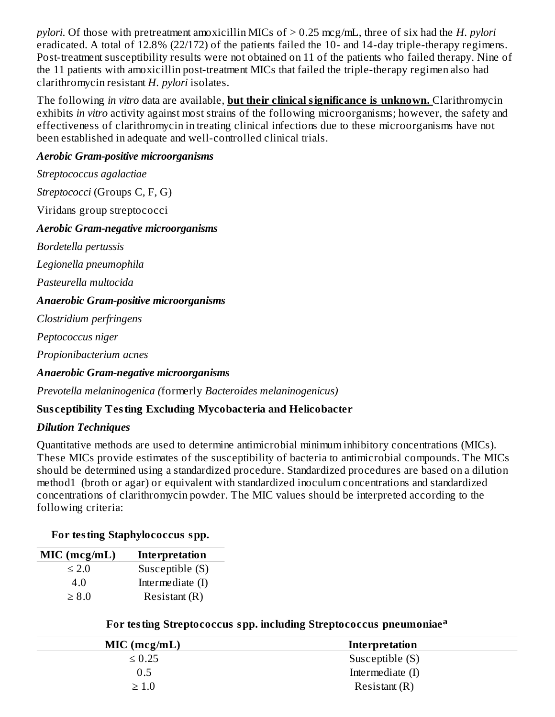*pylori*. Of those with pretreatment amoxicillin MICs of > 0.25 mcg/mL, three of six had the *H. pylori* eradicated. A total of 12.8% (22/172) of the patients failed the 10- and 14-day triple-therapy regimens. Post-treatment susceptibility results were not obtained on 11 of the patients who failed therapy. Nine of the 11 patients with amoxicillin post-treatment MICs that failed the triple-therapy regimen also had clarithromycin resistant *H. pylori* isolates.

The following *in vitro* data are available, **but their clinical significance is unknown.** Clarithromycin exhibits *in vitro* activity against most strains of the following microorganisms; however, the safety and effectiveness of clarithromycin in treating clinical infections due to these microorganisms have not been established in adequate and well-controlled clinical trials.

#### *Aerobic Gram-positive microorganisms*

*Streptococcus agalactiae*

*Streptococci* (Groups C, F, G)

Viridans group streptococci

#### *Aerobic Gram-negative microorganisms*

*Bordetella pertussis*

*Legionella pneumophila*

*Pasteurella multocida*

#### *Anaerobic Gram-positive microorganisms*

*Clostridium perfringens*

*Peptococcus niger*

*Propionibacterium acnes*

#### *Anaerobic Gram-negative microorganisms*

*Prevotella melaninogenica (*formerly *Bacteroides melaninogenicus)*

#### **Sus ceptibility Testing Excluding Mycobacteria and Helicobacter**

#### *Dilution Techniques*

Quantitative methods are used to determine antimicrobial minimum inhibitory concentrations (MICs). These MICs provide estimates of the susceptibility of bacteria to antimicrobial compounds. The MICs should be determined using a standardized procedure. Standardized procedures are based on a dilution method1 (broth or agar) or equivalent with standardized inoculum concentrations and standardized concentrations of clarithromycin powder. The MIC values should be interpreted according to the following criteria:

#### **For testing Staphylococcus spp.**

| $MIC$ (mcg/mL) | Interpretation   |
|----------------|------------------|
| < 2.0          | Susceptible (S)  |
| 4.0            | Intermediate (I) |
| > 8.0          | Resistant (R)    |

#### **For testing Streptococcus spp. including Streptococcus pneumoniae a**

| $MIC$ (mcg/mL) | Interpretation   |  |
|----------------|------------------|--|
| $\leq 0.25$    | Susceptible (S)  |  |
| 0.5            | Intermediate (I) |  |
| $\geq 1.0$     | Resistant (R)    |  |
|                |                  |  |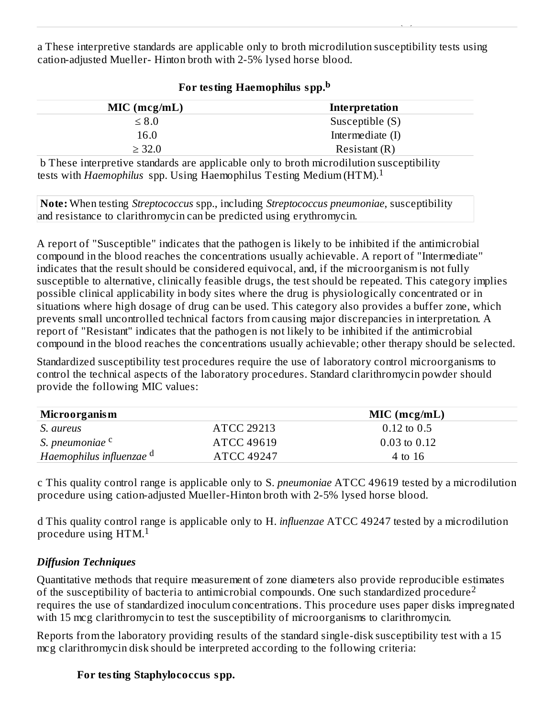a These interpretive standards are applicable only to broth microdilution susceptibility tests using cation-adjusted Mueller- Hinton broth with 2-5% lysed horse blood.

 $\mathcal{L} = \mathcal{L} \times \mathcal{L} = \mathcal{L} \times \mathcal{L} = \mathcal{L} \times \mathcal{L} = \mathcal{L} \times \mathcal{L} = \mathcal{L} \times \mathcal{L} = \mathcal{L} \times \mathcal{L} = \mathcal{L} \times \mathcal{L} = \mathcal{L} \times \mathcal{L} = \mathcal{L} \times \mathcal{L} = \mathcal{L} \times \mathcal{L} = \mathcal{L} \times \mathcal{L} = \mathcal{L} \times \mathcal{L} = \mathcal{L} \times \mathcal{L} = \mathcal{L} \times \mathcal{L} = \mathcal$ 

| $MIC$ (mcg/mL) | Interpretation   |
|----------------|------------------|
| $\leq 8.0$     | Susceptible (S)  |
| 16.0           | Intermediate (I) |
| $\geq 32.0$    | Resistant(R)     |

### **For testing Haemophilus spp. b**

b These interpretive standards are applicable only to broth microdilution susceptibility tests with *Haemophilus* spp. Using Haemophilus Testing Medium (HTM). 1

**Note:** When testing *Streptococcus* spp., including *Streptococcus pneumoniae*, susceptibility and resistance to clarithromycin can be predicted using erythromycin.

A report of "Susceptible" indicates that the pathogen is likely to be inhibited if the antimicrobial compound in the blood reaches the concentrations usually achievable. A report of "Intermediate" indicates that the result should be considered equivocal, and, if the microorganism is not fully susceptible to alternative, clinically feasible drugs, the test should be repeated. This category implies possible clinical applicability in body sites where the drug is physiologically concentrated or in situations where high dosage of drug can be used. This category also provides a buffer zone, which prevents small uncontrolled technical factors from causing major discrepancies in interpretation. A report of "Resistant" indicates that the pathogen is not likely to be inhibited if the antimicrobial compound in the blood reaches the concentrations usually achievable; other therapy should be selected.

Standardized susceptibility test procedures require the use of laboratory control microorganisms to control the technical aspects of the laboratory procedures. Standard clarithromycin powder should provide the following MIC values:

| Microorganis m                      |            | $MIC$ (mcg/mL)         |  |
|-------------------------------------|------------|------------------------|--|
| S. aureus                           | ATCC 29213 | $0.12 \text{ to } 0.5$ |  |
| S. pneumoniae <sup>c</sup>          | ATCC 49619 | $0.03$ to $0.12$       |  |
| Haemophilus influenzae <sup>d</sup> | ATCC 49247 | 4 to 16                |  |

c This quality control range is applicable only to S. *pneumoniae* ATCC 49619 tested by a microdilution procedure using cation-adjusted Mueller-Hinton broth with 2-5% lysed horse blood.

d This quality control range is applicable only to H. *influenzae* ATCC 49247 tested by a microdilution procedure using HTM.<sup>1</sup>

#### *Diffusion Techniques*

Quantitative methods that require measurement of zone diameters also provide reproducible estimates of the susceptibility of bacteria to antimicrobial compounds. One such standardized procedure<sup>2</sup> requires the use of standardized inoculum concentrations. This procedure uses paper disks impregnated with 15 mcg clarithromycin to test the susceptibility of microorganisms to clarithromycin.

Reports from the laboratory providing results of the standard single-disk susceptibility test with a 15 mcg clarithromycin disk should be interpreted according to the following criteria:

# **For testing Staphylococcus spp.**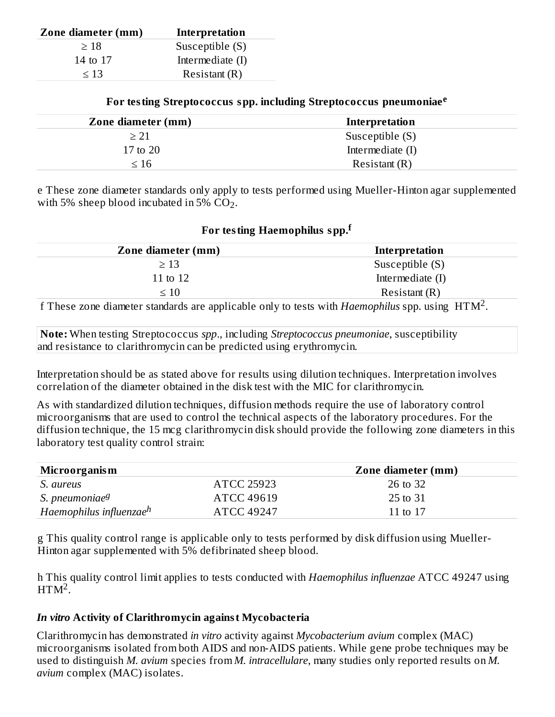| Zone diameter (mm) | Interpretation   |
|--------------------|------------------|
| >18                | Susceptible (S)  |
| 14 to 17           | Intermediate (I) |
| $<$ 13             | Resistant (R)    |

**For testing Streptococcus spp. including Streptococcus pneumoniae e**

| Susceptible (S)  |                |
|------------------|----------------|
| Intermediate (I) |                |
| Resistant $(R)$  |                |
|                  | Interpretation |

e These zone diameter standards only apply to tests performed using Mueller-Hinton agar supplemented with 5% sheep blood incubated in 5%  $CO<sub>2</sub>$ .

|         |                    | FUL testing Haemophinus spp.                                                                                                                                                                                          |
|---------|--------------------|-----------------------------------------------------------------------------------------------------------------------------------------------------------------------------------------------------------------------|
|         | Zone diameter (mm) | Interpretation                                                                                                                                                                                                        |
|         | >13                | Susceptible (S)                                                                                                                                                                                                       |
|         | 11 to 12           | Intermediate (I)                                                                                                                                                                                                      |
|         | $\leq 10$          | Resistant $(R)$                                                                                                                                                                                                       |
| $C = 1$ | 1. 1 1             | $x \cdot m \cdot r$<br>$\mathbf{v}$<br>$\mathbf{1} \cdot \mathbf{1} \cdot \mathbf{1}$ , $\mathbf{1} \cdot \mathbf{1}$ , $\mathbf{1} \cdot \mathbf{1}$ , $\mathbf{1} \cdot \mathbf{1}$ , $\mathbf{1} \cdot \mathbf{1}$ |

**For testing Haemophilus spp. f**

f These zone diameter standards are applicable only to tests with *Haemophilus* spp. using  $HTM<sup>2</sup>$ .

**Note:** When testing Streptococcus *spp*., including *Streptococcus pneumoniae*, susceptibility and resistance to clarithromycin can be predicted using erythromycin.

Interpretation should be as stated above for results using dilution techniques. Interpretation involves correlation of the diameter obtained in the disk test with the MIC for clarithromycin.

As with standardized dilution techniques, diffusion methods require the use of laboratory control microorganisms that are used to control the technical aspects of the laboratory procedures. For the diffusion technique, the 15 mcg clarithromycin disk should provide the following zone diameters in this laboratory test quality control strain:

| Microorganis m                      |            | Zone diameter (mm) |
|-------------------------------------|------------|--------------------|
| S. aureus                           | ATCC 25923 | 26 to 32           |
| S. pneumoniae <sup>g</sup>          | ATCC 49619 | 25 to 31           |
| Haemophilus influenzae <sup>h</sup> | ATCC 49247 | 11 to 17           |

g This quality control range is applicable only to tests performed by disk diffusion using Mueller-Hinton agar supplemented with 5% defibrinated sheep blood.

h This quality control limit applies to tests conducted with *Haemophilus influenzae* ATCC 49247 using  $HTM<sup>2</sup>$ .

#### *In vitro* **Activity of Clarithromycin against Mycobacteria**

Clarithromycin has demonstrated *in vitro* activity against *Mycobacterium avium* complex (MAC) microorganisms isolated from both AIDS and non-AIDS patients. While gene probe techniques may be used to distinguish *M. avium* species from *M. intracellulare*, many studies only reported results on *M. avium* complex (MAC) isolates.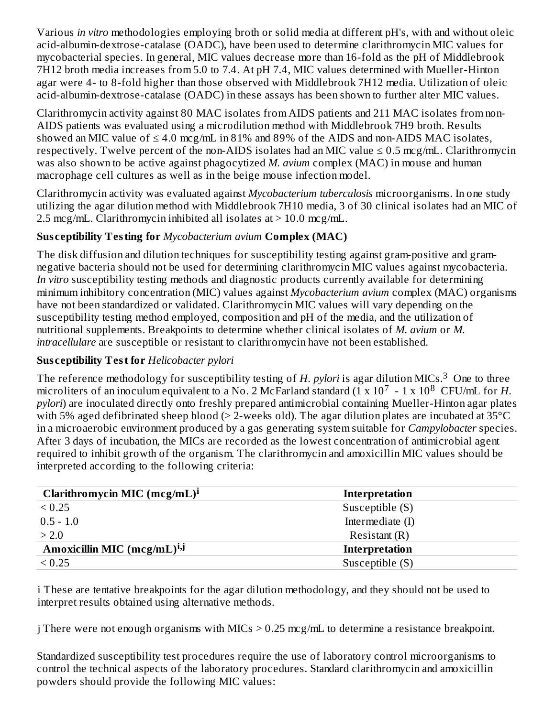Various *in vitro* methodologies employing broth or solid media at different pH's, with and without oleic acid-albumin-dextrose-catalase (OADC), have been used to determine clarithromycin MIC values for mycobacterial species. In general, MIC values decrease more than 16-fold as the pH of Middlebrook 7H12 broth media increases from 5.0 to 7.4. At pH 7.4, MIC values determined with Mueller-Hinton agar were 4- to 8-fold higher than those observed with Middlebrook 7H12 media. Utilization of oleic acid-albumin-dextrose-catalase (OADC) in these assays has been shown to further alter MIC values.

Clarithromycin activity against 80 MAC isolates from AIDS patients and 211 MAC isolates from non-AIDS patients was evaluated using a microdilution method with Middlebrook 7H9 broth. Results showed an MIC value of  $\leq 4.0$  mcg/mL in 81% and 89% of the AIDS and non-AIDS MAC isolates, respectively. Twelve percent of the non-AIDS isolates had an MIC value  $\leq 0.5$  mcg/mL. Clarithromycin was also shown to be active against phagocytized *M. avium* complex (MAC) in mouse and human macrophage cell cultures as well as in the beige mouse infection model.

Clarithromycin activity was evaluated against *Mycobacterium tuberculosis* microorganisms. In one study utilizing the agar dilution method with Middlebrook 7H10 media, 3 of 30 clinical isolates had an MIC of 2.5 mcg/mL. Clarithromycin inhibited all isolates at  $> 10.0$  mcg/mL.

# **Sus ceptibility Testing for** *Mycobacterium avium* **Complex (MAC)**

The disk diffusion and dilution techniques for susceptibility testing against gram-positive and gramnegative bacteria should not be used for determining clarithromycin MIC values against mycobacteria. *In vitro* susceptibility testing methods and diagnostic products currently available for determining minimum inhibitory concentration (MIC) values against *Mycobacterium avium* complex (MAC) organisms have not been standardized or validated. Clarithromycin MIC values will vary depending on the susceptibility testing method employed, composition and pH of the media, and the utilization of nutritional supplements. Breakpoints to determine whether clinical isolates of *M. avium* or *M. intracellulare* are susceptible or resistant to clarithromycin have not been established.

### **Sus ceptibility Test for** *Helicobacter pylori*

The reference methodology for susceptibility testing of *H. pylori* is agar dilution MICs.<sup>3</sup> One to three microliters of an inoculum equivalent to a No. 2 McFarland standard  $(1 \times 10^7 - 1 \times 10^8$  CFU/mL for *H*. *pylori*) are inoculated directly onto freshly prepared antimicrobial containing Mueller-Hinton agar plates with 5% aged defibrinated sheep blood ( $>$  2-weeks old). The agar dilution plates are incubated at 35°C in a microaerobic environment produced by a gas generating system suitable for *Campylobacter* species. After 3 days of incubation, the MICs are recorded as the lowest concentration of antimicrobial agent required to inhibit growth of the organism. The clarithromycin and amoxicillin MIC values should be interpreted according to the following criteria:

| Clarithromycin MIC $(mcg/mL)^{i}$       | Interpretation   |
|-----------------------------------------|------------------|
| ${}< 0.25$                              | Susceptible (S)  |
| $0.5 - 1.0$                             | Intermediate (I) |
| > 2.0                                   | Resistant (R)    |
| Amoxicillin MIC (mcg/mL) <sup>i,j</sup> | Interpretation   |
| ${}_{0.25}$                             | Susceptible (S)  |

i These are tentative breakpoints for the agar dilution methodology, and they should not be used to interpret results obtained using alternative methods.

j There were not enough organisms with MICs  $> 0.25$  mcg/mL to determine a resistance breakpoint.

Standardized susceptibility test procedures require the use of laboratory control microorganisms to control the technical aspects of the laboratory procedures. Standard clarithromycin and amoxicillin powders should provide the following MIC values: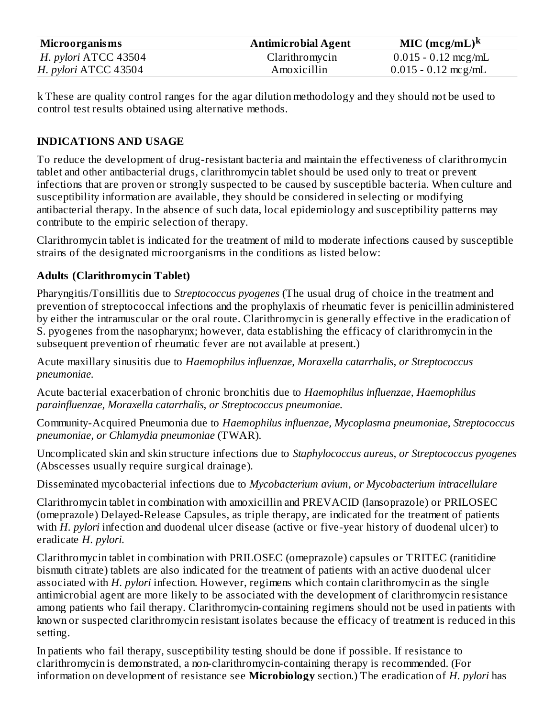| Microorganis ms      | <b>Antimicrobial Agent</b> | MIC (mcg/mL) <sup>k</sup> |
|----------------------|----------------------------|---------------------------|
| H. pylori ATCC 43504 | Clarithromycin             | $0.015 - 0.12$ mcg/mL     |
| H. pylori ATCC 43504 | Amoxicillin                | $0.015 - 0.12$ mcg/mL     |

k These are quality control ranges for the agar dilution methodology and they should not be used to control test results obtained using alternative methods.

### **INDICATIONS AND USAGE**

To reduce the development of drug-resistant bacteria and maintain the effectiveness of clarithromycin tablet and other antibacterial drugs, clarithromycin tablet should be used only to treat or prevent infections that are proven or strongly suspected to be caused by susceptible bacteria. When culture and susceptibility information are available, they should be considered in selecting or modifying antibacterial therapy. In the absence of such data, local epidemiology and susceptibility patterns may contribute to the empiric selection of therapy.

Clarithromycin tablet is indicated for the treatment of mild to moderate infections caused by susceptible strains of the designated microorganisms in the conditions as listed below:

### **Adults (Clarithromycin Tablet)**

Pharyngitis/Tonsillitis due to *Streptococcus pyogenes* (The usual drug of choice in the treatment and prevention of streptococcal infections and the prophylaxis of rheumatic fever is penicillin administered by either the intramuscular or the oral route. Clarithromycin is generally effective in the eradication of S. pyogenes from the nasopharynx; however, data establishing the efficacy of clarithromycin in the subsequent prevention of rheumatic fever are not available at present.)

Acute maxillary sinusitis due to *Haemophilus influenzae, Moraxella catarrhalis, or Streptococcus pneumoniae.*

Acute bacterial exacerbation of chronic bronchitis due to *Haemophilus influenzae, Haemophilus parainfluenzae, Moraxella catarrhalis, or Streptococcus pneumoniae.*

Community-Acquired Pneumonia due to *Haemophilus influenzae, Mycoplasma pneumoniae, Streptococcus pneumoniae, or Chlamydia pneumoniae* (TWAR).

Uncomplicated skin and skin structure infections due to *Staphylococcus aureus, or Streptococcus pyogenes* (Abscesses usually require surgical drainage).

Disseminated mycobacterial infections due to *Mycobacterium avium*, *or Mycobacterium intracellulare*

Clarithromycin tablet in combination with amoxicillin and PREVACID (lansoprazole) or PRILOSEC (omeprazole) Delayed-Release Capsules, as triple therapy, are indicated for the treatment of patients with *H. pylori* infection and duodenal ulcer disease (active or five-year history of duodenal ulcer) to eradicate *H. pylori*.

Clarithromycin tablet in combination with PRILOSEC (omeprazole) capsules or TRITEC (ranitidine bismuth citrate) tablets are also indicated for the treatment of patients with an active duodenal ulcer associated with *H. pylori* infection. However, regimens which contain clarithromycin as the single antimicrobial agent are more likely to be associated with the development of clarithromycin resistance among patients who fail therapy. Clarithromycin-containing regimens should not be used in patients with known or suspected clarithromycin resistant isolates because the efficacy of treatment is reduced in this setting.

In patients who fail therapy, susceptibility testing should be done if possible. If resistance to clarithromycin is demonstrated, a non-clarithromycin-containing therapy is recommended. (For information on development of resistance see **Microbiology** section.) The eradication of *H. pylori* has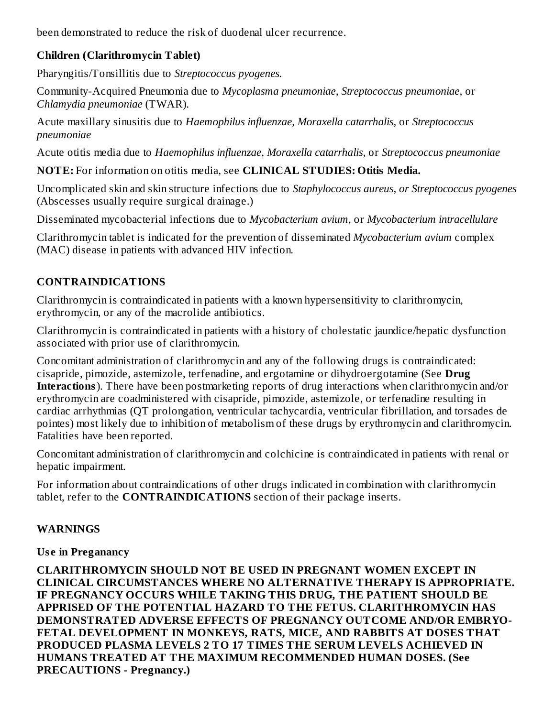been demonstrated to reduce the risk of duodenal ulcer recurrence.

# **Children (Clarithromycin Tablet)**

Pharyngitis/Tonsillitis due to *Streptococcus pyogenes.*

Community-Acquired Pneumonia due to *Mycoplasma pneumoniae, Streptococcus pneumoniae,* or *Chlamydia pneumoniae* (TWAR).

Acute maxillary sinusitis due to *Haemophilus influenzae, Moraxella catarrhalis,* or *Streptococcus pneumoniae*

Acute otitis media due to *Haemophilus influenzae, Moraxella catarrhalis,* or *Streptococcus pneumoniae*

**NOTE:** For information on otitis media, see **CLINICAL STUDIES: Otitis Media.**

Uncomplicated skin and skin structure infections due to *Staphylococcus aureus, or Streptococcus pyogenes* (Abscesses usually require surgical drainage.)

Disseminated mycobacterial infections due to *Mycobacterium avium*, or *Mycobacterium intracellulare*

Clarithromycin tablet is indicated for the prevention of disseminated *Mycobacterium avium* complex (MAC) disease in patients with advanced HIV infection.

# **CONTRAINDICATIONS**

Clarithromycin is contraindicated in patients with a known hypersensitivity to clarithromycin, erythromycin, or any of the macrolide antibiotics.

Clarithromycin is contraindicated in patients with a history of cholestatic jaundice/hepatic dysfunction associated with prior use of clarithromycin.

Concomitant administration of clarithromycin and any of the following drugs is contraindicated: cisapride, pimozide, astemizole, terfenadine, and ergotamine or dihydroergotamine (See **Drug Interactions**). There have been postmarketing reports of drug interactions when clarithromycin and/or erythromycin are coadministered with cisapride, pimozide, astemizole, or terfenadine resulting in cardiac arrhythmias (QT prolongation, ventricular tachycardia, ventricular fibrillation, and torsades de pointes) most likely due to inhibition of metabolism of these drugs by erythromycin and clarithromycin. Fatalities have been reported.

Concomitant administration of clarithromycin and colchicine is contraindicated in patients with renal or hepatic impairment.

For information about contraindications of other drugs indicated in combination with clarithromycin tablet, refer to the **CONTRAINDICATIONS** section of their package inserts.

# **WARNINGS**

# **Us e in Preganancy**

**CLARITHROMYCIN SHOULD NOT BE USED IN PREGNANT WOMEN EXCEPT IN CLINICAL CIRCUMSTANCES WHERE NO ALTERNATIVE THERAPY IS APPROPRIATE. IF PREGNANCY OCCURS WHILE TAKING THIS DRUG, THE PATIENT SHOULD BE APPRISED OF THE POTENTIAL HAZARD TO THE FETUS. CLARITHROMYCIN HAS DEMONSTRATED ADVERSE EFFECTS OF PREGNANCY OUTCOME AND/OR EMBRYO-FETAL DEVELOPMENT IN MONKEYS, RATS, MICE, AND RABBITS AT DOSES THAT PRODUCED PLASMA LEVELS 2 TO 17 TIMES THE SERUM LEVELS ACHIEVED IN HUMANS TREATED AT THE MAXIMUM RECOMMENDED HUMAN DOSES. (See PRECAUTIONS - Pregnancy.)**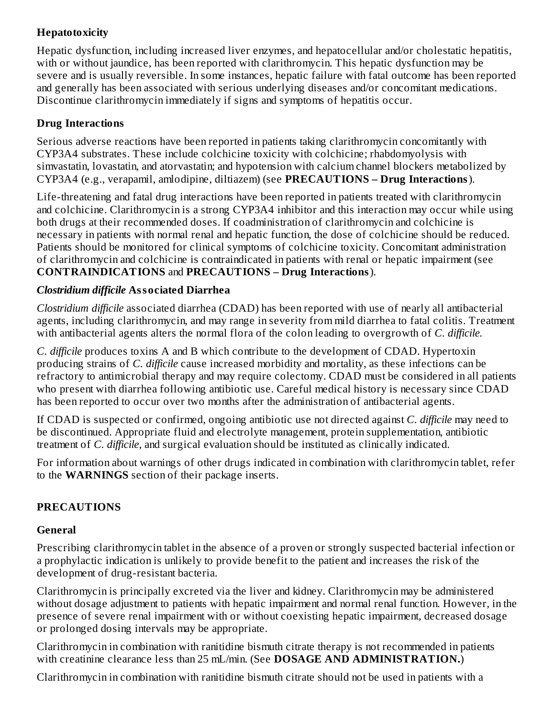# **Hepatotoxicity**

Hepatic dysfunction, including increased liver enzymes, and hepatocellular and/or cholestatic hepatitis, with or without jaundice, has been reported with clarithromycin. This hepatic dysfunction may be severe and is usually reversible. In some instances, hepatic failure with fatal outcome has been reported and generally has been associated with serious underlying diseases and/or concomitant medications. Discontinue clarithromycin immediately if signs and symptoms of hepatitis occur.

# **Drug Interactions**

Serious adverse reactions have been reported in patients taking clarithromycin concomitantly with CYP3A4 substrates. These include colchicine toxicity with colchicine; rhabdomyolysis with simvastatin, lovastatin, and atorvastatin; and hypotension with calcium channel blockers metabolized by CYP3A4 (e.g., verapamil, amlodipine, diltiazem) (see **PRECAUTIONS – Drug Interactions**).

Life-threatening and fatal drug interactions have been reported in patients treated with clarithromycin and colchicine. Clarithromycin is a strong CYP3A4 inhibitor and this interaction may occur while using both drugs at their recommended doses. If coadministration of clarithromycin and colchicine is necessary in patients with normal renal and hepatic function, the dose of colchicine should be reduced. Patients should be monitored for clinical symptoms of colchicine toxicity. Concomitant administration of clarithromycin and colchicine is contraindicated in patients with renal or hepatic impairment (see **CONTRAINDICATIONS** and **PRECAUTIONS – Drug Interactions**).

# *Clostridium difficile* **Associated Diarrhea**

*Clostridium difficile* associated diarrhea (CDAD) has been reported with use of nearly all antibacterial agents, including clarithromycin, and may range in severity from mild diarrhea to fatal colitis. Treatment with antibacterial agents alters the normal flora of the colon leading to overgrowth of *C. difficile.*

*C. difficile* produces toxins A and B which contribute to the development of CDAD. Hypertoxin producing strains of *C. difficile* cause increased morbidity and mortality, as these infections can be refractory to antimicrobial therapy and may require colectomy. CDAD must be considered in all patients who present with diarrhea following antibiotic use. Careful medical history is necessary since CDAD has been reported to occur over two months after the administration of antibacterial agents.

If CDAD is suspected or confirmed, ongoing antibiotic use not directed against *C. difficile* may need to be discontinued. Appropriate fluid and electrolyte management, protein supplementation, antibiotic treatment of *C. difficile*, and surgical evaluation should be instituted as clinically indicated.

For information about warnings of other drugs indicated in combination with clarithromycin tablet, refer to the **WARNINGS** section of their package inserts.

# **PRECAUTIONS**

# **General**

Prescribing clarithromycin tablet in the absence of a proven or strongly suspected bacterial infection or a prophylactic indication is unlikely to provide benefit to the patient and increases the risk of the development of drug-resistant bacteria.

Clarithromycin is principally excreted via the liver and kidney. Clarithromycin may be administered without dosage adjustment to patients with hepatic impairment and normal renal function. However, in the presence of severe renal impairment with or without coexisting hepatic impairment, decreased dosage or prolonged dosing intervals may be appropriate.

Clarithromycin in combination with ranitidine bismuth citrate therapy is not recommended in patients with creatinine clearance less than 25 mL/min. (See **DOSAGE AND ADMINISTRATION.**)

Clarithromycin in combination with ranitidine bismuth citrate should not be used in patients with a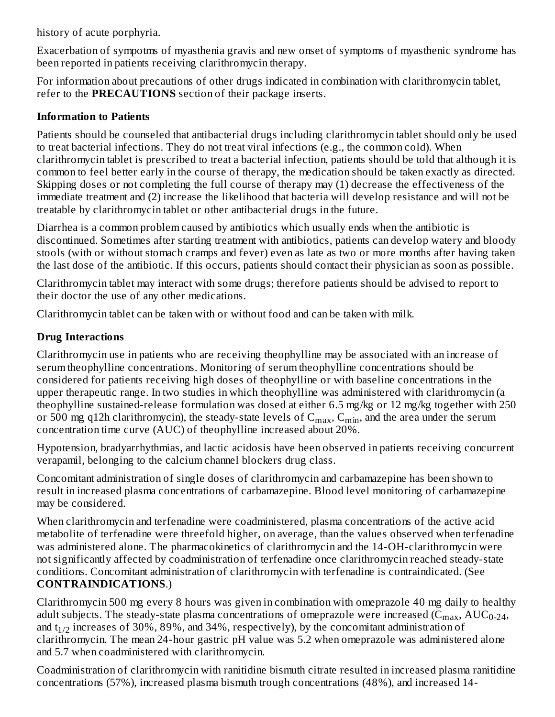history of acute porphyria.

Exacerbation of sympotms of myasthenia gravis and new onset of symptoms of myasthenic syndrome has been reported in patients receiving clarithromycin therapy.

For information about precautions of other drugs indicated in combination with clarithromycin tablet, refer to the **PRECAUTIONS** section of their package inserts.

# **Information to Patients**

Patients should be counseled that antibacterial drugs including clarithromycin tablet should only be used to treat bacterial infections. They do not treat viral infections (e.g., the common cold). When clarithromycin tablet is prescribed to treat a bacterial infection, patients should be told that although it is common to feel better early in the course of therapy, the medication should be taken exactly as directed. Skipping doses or not completing the full course of therapy may (1) decrease the effectiveness of the immediate treatment and (2) increase the likelihood that bacteria will develop resistance and will not be treatable by clarithromycin tablet or other antibacterial drugs in the future.

Diarrhea is a common problem caused by antibiotics which usually ends when the antibiotic is discontinued. Sometimes after starting treatment with antibiotics, patients can develop watery and bloody stools (with or without stomach cramps and fever) even as late as two or more months after having taken the last dose of the antibiotic. If this occurs, patients should contact their physician as soon as possible.

Clarithromycin tablet may interact with some drugs; therefore patients should be advised to report to their doctor the use of any other medications.

Clarithromycin tablet can be taken with or without food and can be taken with milk.

# **Drug Interactions**

Clarithromycin use in patients who are receiving theophylline may be associated with an increase of serum theophylline concentrations. Monitoring of serum theophylline concentrations should be considered for patients receiving high doses of theophylline or with baseline concentrations in the upper therapeutic range. In two studies in which theophylline was administered with clarithromycin (a theophylline sustained-release formulation was dosed at either 6.5 mg/kg or 12 mg/kg together with 250 or 500 mg q12h clarithromycin), the steady-state levels of  $\rm{C_{max}}$ ,  $\rm{C_{min}}$ , and the area under the serum concentration time curve (AUC) of theophylline increased about 20%.

Hypotension, bradyarrhythmias, and lactic acidosis have been observed in patients receiving concurrent verapamil, belonging to the calcium channel blockers drug class.

Concomitant administration of single doses of clarithromycin and carbamazepine has been shown to result in increased plasma concentrations of carbamazepine. Blood level monitoring of carbamazepine may be considered.

When clarithromycin and terfenadine were coadministered, plasma concentrations of the active acid metabolite of terfenadine were threefold higher, on average, than the values observed when terfenadine was administered alone. The pharmacokinetics of clarithromycin and the 14-OH-clarithromycin were not significantly affected by coadministration of terfenadine once clarithromycin reached steady-state conditions. Concomitant administration of clarithromycin with terfenadine is contraindicated. (See **CONTRAINDICATIONS**.)

Clarithromycin 500 mg every 8 hours was given in combination with omeprazole 40 mg daily to healthy adult subjects. The steady-state plasma concentrations of omeprazole were increased (C $_{\rm max}$ , AUC $_{\rm 0-24}$ , and  $t_{1/2}$  increases of 30%, 89%, and 34%, respectively), by the concomitant administration of clarithromycin. The mean 24-hour gastric pH value was 5.2 when omeprazole was administered alone and 5.7 when coadministered with clarithromycin.

Coadministration of clarithromycin with ranitidine bismuth citrate resulted in increased plasma ranitidine concentrations (57%), increased plasma bismuth trough concentrations (48%), and increased 14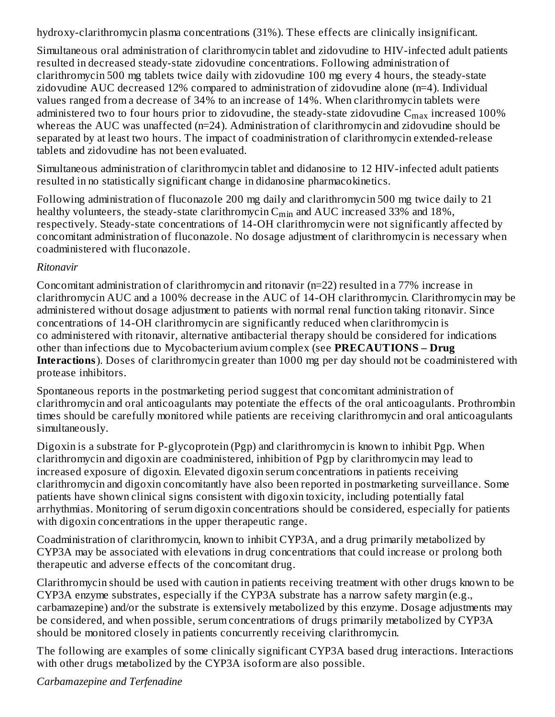hydroxy-clarithromycin plasma concentrations (31%). These effects are clinically insignificant.

Simultaneous oral administration of clarithromycin tablet and zidovudine to HIV-infected adult patients resulted in decreased steady-state zidovudine concentrations. Following administration of clarithromycin 500 mg tablets twice daily with zidovudine 100 mg every 4 hours, the steady-state zidovudine AUC decreased 12% compared to administration of zidovudine alone (n=4). Individual values ranged from a decrease of 34% to an increase of 14%. When clarithromycin tablets were administered two to four hours prior to zidovudine, the steady-state zidovudine  $\rm{C_{max}}$  increased 100% whereas the AUC was unaffected (n=24). Administration of clarithromycin and zidovudine should be separated by at least two hours. The impact of coadministration of clarithromycin extended-release tablets and zidovudine has not been evaluated.

Simultaneous administration of clarithromycin tablet and didanosine to 12 HIV-infected adult patients resulted in no statistically significant change in didanosine pharmacokinetics.

Following administration of fluconazole 200 mg daily and clarithromycin 500 mg twice daily to 21 healthy volunteers, the steady-state clarithromycin  $\mathsf{C}_{\min}$  and  $\mathrm{AUC}$  increased 33% and 18%, respectively. Steady-state concentrations of 14-OH clarithromycin were not significantly affected by concomitant administration of fluconazole. No dosage adjustment of clarithromycin is necessary when coadministered with fluconazole.

#### *Ritonavir*

Concomitant administration of clarithromycin and ritonavir (n=22) resulted in a 77% increase in clarithromycin AUC and a 100% decrease in the AUC of 14-OH clarithromycin. Clarithromycin may be administered without dosage adjustment to patients with normal renal function taking ritonavir. Since concentrations of 14-OH clarithromycin are significantly reduced when clarithromycin is co administered with ritonavir, alternative antibacterial therapy should be considered for indications other than infections due to Mycobacterium avium complex (see **PRECAUTIONS – Drug Interactions**). Doses of clarithromycin greater than 1000 mg per day should not be coadministered with protease inhibitors.

Spontaneous reports in the postmarketing period suggest that concomitant administration of clarithromycin and oral anticoagulants may potentiate the effects of the oral anticoagulants. Prothrombin times should be carefully monitored while patients are receiving clarithromycin and oral anticoagulants simultaneously.

Digoxin is a substrate for P-glycoprotein (Pgp) and clarithromycin is known to inhibit Pgp. When clarithromycin and digoxin are coadministered, inhibition of Pgp by clarithromycin may lead to increased exposure of digoxin. Elevated digoxin serum concentrations in patients receiving clarithromycin and digoxin concomitantly have also been reported in postmarketing surveillance. Some patients have shown clinical signs consistent with digoxin toxicity, including potentially fatal arrhythmias. Monitoring of serum digoxin concentrations should be considered, especially for patients with digoxin concentrations in the upper therapeutic range.

Coadministration of clarithromycin, known to inhibit CYP3A, and a drug primarily metabolized by CYP3A may be associated with elevations in drug concentrations that could increase or prolong both therapeutic and adverse effects of the concomitant drug.

Clarithromycin should be used with caution in patients receiving treatment with other drugs known to be CYP3A enzyme substrates, especially if the CYP3A substrate has a narrow safety margin (e.g., carbamazepine) and/or the substrate is extensively metabolized by this enzyme. Dosage adjustments may be considered, and when possible, serum concentrations of drugs primarily metabolized by CYP3A should be monitored closely in patients concurrently receiving clarithromycin.

The following are examples of some clinically significant CYP3A based drug interactions. Interactions with other drugs metabolized by the CYP3A isoform are also possible.

*Carbamazepine and Terfenadine*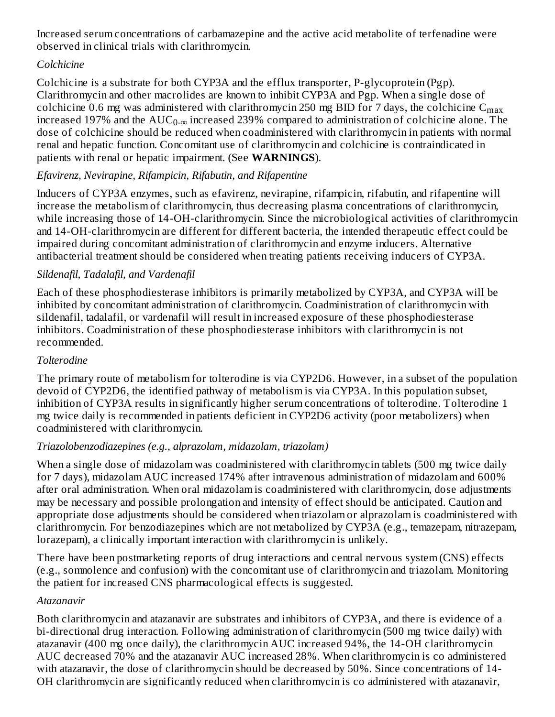Increased serum concentrations of carbamazepine and the active acid metabolite of terfenadine were observed in clinical trials with clarithromycin.

# *Colchicine*

Colchicine is a substrate for both CYP3A and the efflux transporter, P-glycoprotein (Pgp). Clarithromycin and other macrolides are known to inhibit CYP3A and Pgp. When a single dose of colchicine 0.6 mg was administered with clarithromycin 250 mg BID for 7 days, the colchicine  $\rm{C_{max}}$ increased 197% and the  $\mathrm{AUC_{0-\infty}}$  increased 239% compared to administration of colchicine alone. The dose of colchicine should be reduced when coadministered with clarithromycin in patients with normal renal and hepatic function. Concomitant use of clarithromycin and colchicine is contraindicated in patients with renal or hepatic impairment. (See **WARNINGS**).

# *Efavirenz, Nevirapine, Rifampicin, Rifabutin, and Rifapentine*

Inducers of CYP3A enzymes, such as efavirenz, nevirapine, rifampicin, rifabutin, and rifapentine will increase the metabolism of clarithromycin, thus decreasing plasma concentrations of clarithromycin, while increasing those of 14-OH-clarithromycin. Since the microbiological activities of clarithromycin and 14-OH-clarithromycin are different for different bacteria, the intended therapeutic effect could be impaired during concomitant administration of clarithromycin and enzyme inducers. Alternative antibacterial treatment should be considered when treating patients receiving inducers of CYP3A.

# *Sildenafil, Tadalafil, and Vardenafil*

Each of these phosphodiesterase inhibitors is primarily metabolized by CYP3A, and CYP3A will be inhibited by concomitant administration of clarithromycin. Coadministration of clarithromycin with sildenafil, tadalafil, or vardenafil will result in increased exposure of these phosphodiesterase inhibitors. Coadministration of these phosphodiesterase inhibitors with clarithromycin is not recommended.

# *Tolterodine*

The primary route of metabolism for tolterodine is via CYP2D6. However, in a subset of the population devoid of CYP2D6, the identified pathway of metabolism is via CYP3A. In this population subset, inhibition of CYP3A results in significantly higher serum concentrations of tolterodine. Tolterodine 1 mg twice daily is recommended in patients deficient in CYP2D6 activity (poor metabolizers) when coadministered with clarithromycin.

# *Triazolobenzodiazepines (e.g., alprazolam, midazolam, triazolam)*

When a single dose of midazolam was coadministered with clarithromycin tablets (500 mg twice daily for 7 days), midazolam AUC increased 174% after intravenous administration of midazolam and 600% after oral administration. When oral midazolam is coadministered with clarithromycin, dose adjustments may be necessary and possible prolongation and intensity of effect should be anticipated. Caution and appropriate dose adjustments should be considered when triazolam or alprazolam is coadministered with clarithromycin. For benzodiazepines which are not metabolized by CYP3A (e.g., temazepam, nitrazepam, lorazepam), a clinically important interaction with clarithromycin is unlikely.

There have been postmarketing reports of drug interactions and central nervous system (CNS) effects (e.g., somnolence and confusion) with the concomitant use of clarithromycin and triazolam. Monitoring the patient for increased CNS pharmacological effects is suggested.

# *Atazanavir*

Both clarithromycin and atazanavir are substrates and inhibitors of CYP3A, and there is evidence of a bi-directional drug interaction. Following administration of clarithromycin (500 mg twice daily) with atazanavir (400 mg once daily), the clarithromycin AUC increased 94%, the 14-OH clarithromycin AUC decreased 70% and the atazanavir AUC increased 28%. When clarithromycin is co administered with atazanavir, the dose of clarithromycin should be decreased by 50%. Since concentrations of 14- OH clarithromycin are significantly reduced when clarithromycin is co administered with atazanavir,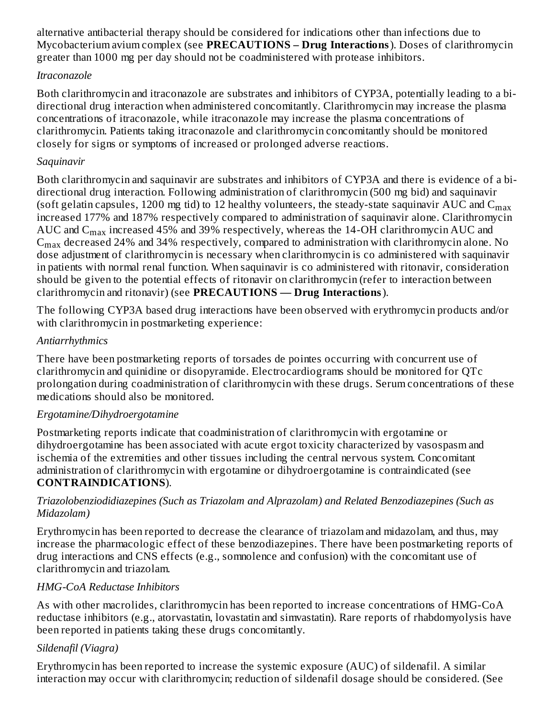alternative antibacterial therapy should be considered for indications other than infections due to Mycobacterium avium complex (see **PRECAUTIONS – Drug Interactions**). Doses of clarithromycin greater than 1000 mg per day should not be coadministered with protease inhibitors.

#### *Itraconazole*

Both clarithromycin and itraconazole are substrates and inhibitors of CYP3A, potentially leading to a bidirectional drug interaction when administered concomitantly. Clarithromycin may increase the plasma concentrations of itraconazole, while itraconazole may increase the plasma concentrations of clarithromycin. Patients taking itraconazole and clarithromycin concomitantly should be monitored closely for signs or symptoms of increased or prolonged adverse reactions.

# *Saquinavir*

Both clarithromycin and saquinavir are substrates and inhibitors of CYP3A and there is evidence of a bidirectional drug interaction. Following administration of clarithromycin (500 mg bid) and saquinavir (soft gelatin capsules, 1200 mg tid) to 12 healthy volunteers, the steady-state saquinavir  $\rm AUC$  and  $\rm C_{max}$ increased 177% and 187% respectively compared to administration of saquinavir alone. Clarithromycin AUC and  $\rm{C_{max}}$  increased 45% and 39% respectively, whereas the 14-OH clarithromycin AUC and  $\rm{C_{max}}$  decreased 24% and 34% respectively, compared to administration with clarithromycin alone. No dose adjustment of clarithromycin is necessary when clarithromycin is co administered with saquinavir in patients with normal renal function. When saquinavir is co administered with ritonavir, consideration should be given to the potential effects of ritonavir on clarithromycin (refer to interaction between clarithromycin and ritonavir) (see **PRECAUTIONS — Drug Interactions**).

The following CYP3A based drug interactions have been observed with erythromycin products and/or with clarithromycin in postmarketing experience:

# *Antiarrhythmics*

There have been postmarketing reports of torsades de pointes occurring with concurrent use of clarithromycin and quinidine or disopyramide. Electrocardiograms should be monitored for QTc prolongation during coadministration of clarithromycin with these drugs. Serum concentrations of these medications should also be monitored.

# *Ergotamine/Dihydroergotamine*

Postmarketing reports indicate that coadministration of clarithromycin with ergotamine or dihydroergotamine has been associated with acute ergot toxicity characterized by vasospasm and ischemia of the extremities and other tissues including the central nervous system. Concomitant administration of clarithromycin with ergotamine or dihydroergotamine is contraindicated (see **CONTRAINDICATIONS**).

#### *Triazolobenziodidiazepines (Such as Triazolam and Alprazolam) and Related Benzodiazepines (Such as Midazolam)*

Erythromycin has been reported to decrease the clearance of triazolam and midazolam, and thus, may increase the pharmacologic effect of these benzodiazepines. There have been postmarketing reports of drug interactions and CNS effects (e.g., somnolence and confusion) with the concomitant use of clarithromycin and triazolam.

# *HMG-CoA Reductase Inhibitors*

As with other macrolides, clarithromycin has been reported to increase concentrations of HMG-CoA reductase inhibitors (e.g., atorvastatin, lovastatin and simvastatin). Rare reports of rhabdomyolysis have been reported in patients taking these drugs concomitantly.

# *Sildenafil (Viagra)*

Erythromycin has been reported to increase the systemic exposure (AUC) of sildenafil. A similar interaction may occur with clarithromycin; reduction of sildenafil dosage should be considered. (See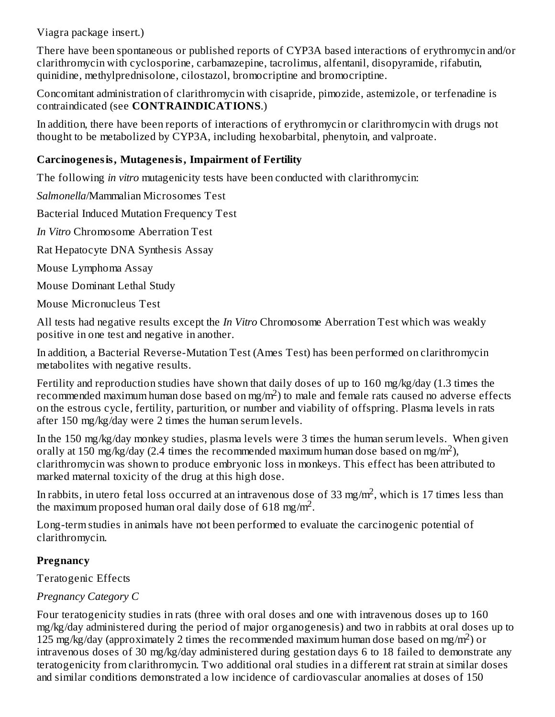# Viagra package insert.)

There have been spontaneous or published reports of CYP3A based interactions of erythromycin and/or clarithromycin with cyclosporine, carbamazepine, tacrolimus, alfentanil, disopyramide, rifabutin, quinidine, methylprednisolone, cilostazol, bromocriptine and bromocriptine.

Concomitant administration of clarithromycin with cisapride, pimozide, astemizole, or terfenadine is contraindicated (see **CONTRAINDICATIONS**.)

In addition, there have been reports of interactions of erythromycin or clarithromycin with drugs not thought to be metabolized by CYP3A, including hexobarbital, phenytoin, and valproate.

# **Carcinogenesis, Mutagenesis, Impairment of Fertility**

The following *in vitro* mutagenicity tests have been conducted with clarithromycin:

*Salmonella*/Mammalian Microsomes Test

Bacterial Induced Mutation Frequency Test

*In Vitro* Chromosome Aberration Test

Rat Hepatocyte DNA Synthesis Assay

Mouse Lymphoma Assay

Mouse Dominant Lethal Study

Mouse Micronucleus Test

All tests had negative results except the *In Vitro* Chromosome Aberration Test which was weakly positive in one test and negative in another.

In addition, a Bacterial Reverse-Mutation Test (Ames Test) has been performed on clarithromycin metabolites with negative results.

Fertility and reproduction studies have shown that daily doses of up to 160 mg/kg/day (1.3 times the recommended maximum human dose based on mg/m<sup>2</sup>) to male and female rats caused no adverse effects on the estrous cycle, fertility, parturition, or number and viability of offspring. Plasma levels in rats after 150 mg/kg/day were 2 times the human serum levels.

In the 150 mg/kg/day monkey studies, plasma levels were 3 times the human serum levels. When given orally at 150 mg/kg/day (2.4 times the recommended maximum human dose based on mg/m<sup>2</sup>), clarithromycin was shown to produce embryonic loss in monkeys. This effect has been attributed to marked maternal toxicity of the drug at this high dose.

In rabbits, in utero fetal loss occurred at an intravenous dose of 33 mg/m<sup>2</sup>, which is 17 times less than the maximum proposed human oral daily dose of  $618 \text{ mg/m}^2$ .

Long-term studies in animals have not been performed to evaluate the carcinogenic potential of clarithromycin.

# **Pregnancy**

Teratogenic Effects

# *Pregnancy Category C*

Four teratogenicity studies in rats (three with oral doses and one with intravenous doses up to 160 mg/kg/day administered during the period of major organogenesis) and two in rabbits at oral doses up to 125 mg/kg/day (approximately 2 times the recommended maximum human dose based on mg/m<sup>2</sup>) or intravenous doses of 30 mg/kg/day administered during gestation days 6 to 18 failed to demonstrate any teratogenicity from clarithromycin. Two additional oral studies in a different rat strain at similar doses and similar conditions demonstrated a low incidence of cardiovascular anomalies at doses of 150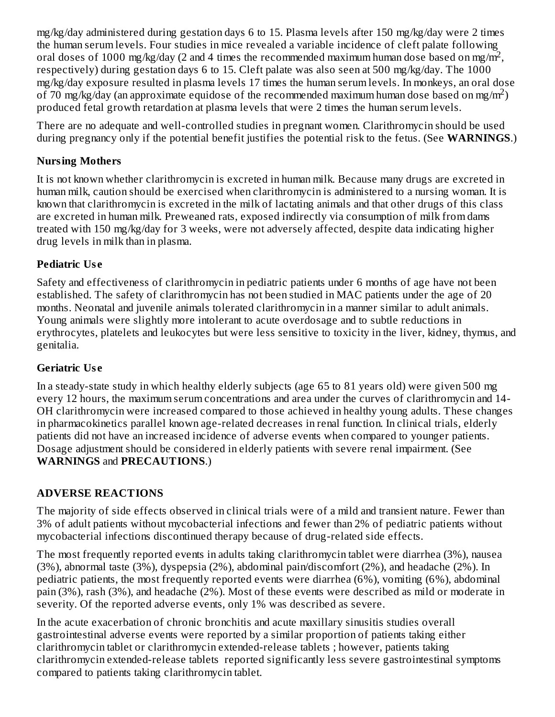mg/kg/day administered during gestation days 6 to 15. Plasma levels after 150 mg/kg/day were 2 times the human serum levels. Four studies in mice revealed a variable incidence of cleft palate following oral doses of 1000 mg/kg/day (2 and 4 times the recommended maximum human dose based on mg/m<sup>2</sup>, respectively) during gestation days 6 to 15. Cleft palate was also seen at 500 mg/kg/day. The 1000 mg/kg/day exposure resulted in plasma levels 17 times the human serum levels. In monkeys, an oral dose of 70 mg/kg/day (an approximate equidose of the recommended maximum human dose based on mg/m<sup>2</sup>) produced fetal growth retardation at plasma levels that were 2 times the human serum levels.

There are no adequate and well-controlled studies in pregnant women. Clarithromycin should be used during pregnancy only if the potential benefit justifies the potential risk to the fetus. (See **WARNINGS**.)

# **Nursing Mothers**

It is not known whether clarithromycin is excreted in human milk. Because many drugs are excreted in human milk, caution should be exercised when clarithromycin is administered to a nursing woman. It is known that clarithromycin is excreted in the milk of lactating animals and that other drugs of this class are excreted in human milk. Preweaned rats, exposed indirectly via consumption of milk from dams treated with 150 mg/kg/day for 3 weeks, were not adversely affected, despite data indicating higher drug levels in milk than in plasma.

# **Pediatric Us e**

Safety and effectiveness of clarithromycin in pediatric patients under 6 months of age have not been established. The safety of clarithromycin has not been studied in MAC patients under the age of 20 months. Neonatal and juvenile animals tolerated clarithromycin in a manner similar to adult animals. Young animals were slightly more intolerant to acute overdosage and to subtle reductions in erythrocytes, platelets and leukocytes but were less sensitive to toxicity in the liver, kidney, thymus, and genitalia.

# **Geriatric Us e**

In a steady-state study in which healthy elderly subjects (age 65 to 81 years old) were given 500 mg every 12 hours, the maximum serum concentrations and area under the curves of clarithromycin and 14- OH clarithromycin were increased compared to those achieved in healthy young adults. These changes in pharmacokinetics parallel known age-related decreases in renal function. In clinical trials, elderly patients did not have an increased incidence of adverse events when compared to younger patients. Dosage adjustment should be considered in elderly patients with severe renal impairment. (See **WARNINGS** and **PRECAUTIONS**.)

# **ADVERSE REACTIONS**

The majority of side effects observed in clinical trials were of a mild and transient nature. Fewer than 3% of adult patients without mycobacterial infections and fewer than 2% of pediatric patients without mycobacterial infections discontinued therapy because of drug-related side effects.

The most frequently reported events in adults taking clarithromycin tablet were diarrhea (3%), nausea (3%), abnormal taste (3%), dyspepsia (2%), abdominal pain/discomfort (2%), and headache (2%). In pediatric patients, the most frequently reported events were diarrhea (6%), vomiting (6%), abdominal pain (3%), rash (3%), and headache (2%). Most of these events were described as mild or moderate in severity. Of the reported adverse events, only 1% was described as severe.

In the acute exacerbation of chronic bronchitis and acute maxillary sinusitis studies overall gastrointestinal adverse events were reported by a similar proportion of patients taking either clarithromycin tablet or clarithromycin extended-release tablets ; however, patients taking clarithromycin extended-release tablets reported significantly less severe gastrointestinal symptoms compared to patients taking clarithromycin tablet.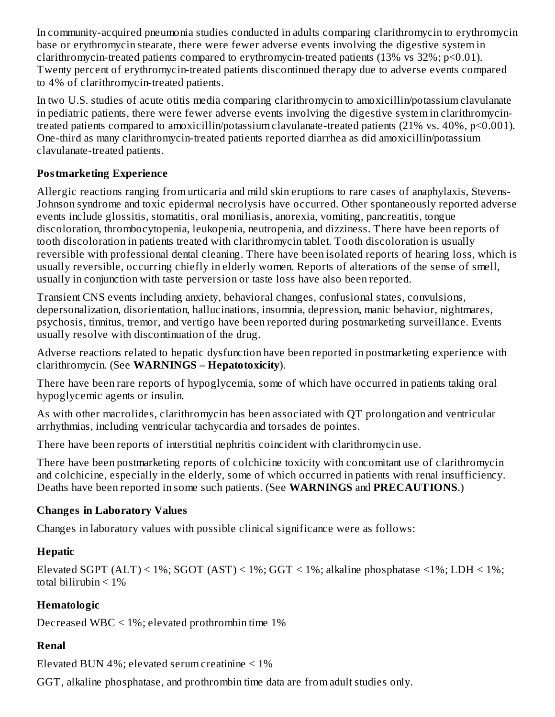In community-acquired pneumonia studies conducted in adults comparing clarithromycin to erythromycin base or erythromycin stearate, there were fewer adverse events involving the digestive system in clarithromycin-treated patients compared to erythromycin-treated patients (13% vs 32%; p<0.01). Twenty percent of erythromycin-treated patients discontinued therapy due to adverse events compared to 4% of clarithromycin-treated patients.

In two U.S. studies of acute otitis media comparing clarithromycin to amoxicillin/potassium clavulanate in pediatric patients, there were fewer adverse events involving the digestive system in clarithromycintreated patients compared to amoxicillin/potassium clavulanate-treated patients (21% vs. 40%, p<0.001). One-third as many clarithromycin-treated patients reported diarrhea as did amoxicillin/potassium clavulanate-treated patients.

# **Postmarketing Experience**

Allergic reactions ranging from urticaria and mild skin eruptions to rare cases of anaphylaxis, Stevens-Johnson syndrome and toxic epidermal necrolysis have occurred. Other spontaneously reported adverse events include glossitis, stomatitis, oral moniliasis, anorexia, vomiting, pancreatitis, tongue discoloration, thrombocytopenia, leukopenia, neutropenia, and dizziness. There have been reports of tooth discoloration in patients treated with clarithromycin tablet. Tooth discoloration is usually reversible with professional dental cleaning. There have been isolated reports of hearing loss, which is usually reversible, occurring chiefly in elderly women. Reports of alterations of the sense of smell, usually in conjunction with taste perversion or taste loss have also been reported.

Transient CNS events including anxiety, behavioral changes, confusional states, convulsions, depersonalization, disorientation, hallucinations, insomnia, depression, manic behavior, nightmares, psychosis, tinnitus, tremor, and vertigo have been reported during postmarketing surveillance. Events usually resolve with discontinuation of the drug.

Adverse reactions related to hepatic dysfunction have been reported in postmarketing experience with clarithromycin. (See **WARNINGS – Hepatotoxicity**).

There have been rare reports of hypoglycemia, some of which have occurred in patients taking oral hypoglycemic agents or insulin.

As with other macrolides, clarithromycin has been associated with QT prolongation and ventricular arrhythmias, including ventricular tachycardia and torsades de pointes.

There have been reports of interstitial nephritis coincident with clarithromycin use.

There have been postmarketing reports of colchicine toxicity with concomitant use of clarithromycin and colchicine, especially in the elderly, some of which occurred in patients with renal insufficiency. Deaths have been reported in some such patients. (See **WARNINGS** and **PRECAUTIONS**.)

# **Changes in Laboratory Values**

Changes in laboratory values with possible clinical significance were as follows:

# **Hepatic**

Elevated SGPT  $(ALT) < 1\%$ ; SGOT  $(AST) < 1\%$ ; GGT  $< 1\%$ ; alkaline phosphatase  $\leq 1\%$ ; LDH  $< 1\%$ ; total bilirubin < 1%

# **Hematologic**

Decreased WBC < 1%; elevated prothrombin time 1%

# **Renal**

Elevated BUN 4%; elevated serum creatinine < 1%

GGT, alkaline phosphatase, and prothrombin time data are from adult studies only.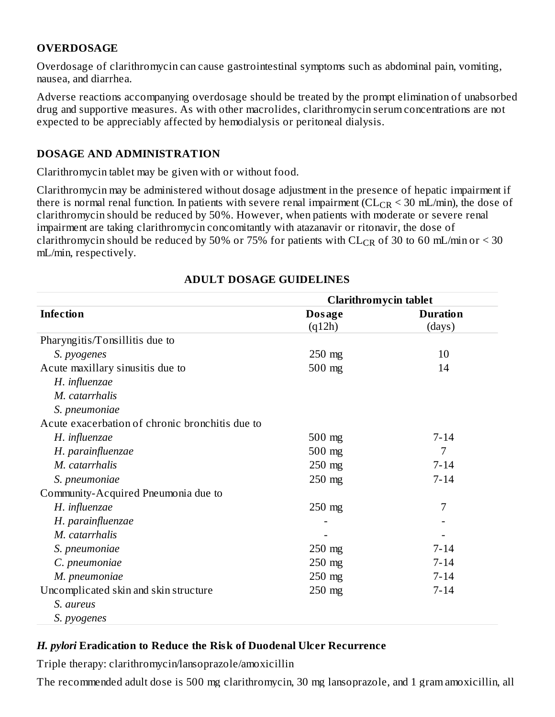#### **OVERDOSAGE**

Overdosage of clarithromycin can cause gastrointestinal symptoms such as abdominal pain, vomiting, nausea, and diarrhea.

Adverse reactions accompanying overdosage should be treated by the prompt elimination of unabsorbed drug and supportive measures. As with other macrolides, clarithromycin serum concentrations are not expected to be appreciably affected by hemodialysis or peritoneal dialysis.

#### **DOSAGE AND ADMINISTRATION**

Clarithromycin tablet may be given with or without food.

Clarithromycin may be administered without dosage adjustment in the presence of hepatic impairment if there is normal renal function. In patients with severe renal impairment ( $\rm CL_{CR}$  < 30 mL/min), the dose of clarithromycin should be reduced by 50%. However, when patients with moderate or severe renal impairment are taking clarithromycin concomitantly with atazanavir or ritonavir, the dose of clarithromycin should be reduced by 50% or 75% for patients with  $\rm CL_{CR}$  of 30 to 60 mL/min or  $<$  30 mL/min, respectively.

|                                                 | <b>Clarithromycin tablet</b> |                 |  |
|-------------------------------------------------|------------------------------|-----------------|--|
| <b>Infection</b>                                | <b>Dosage</b>                | <b>Duration</b> |  |
|                                                 | (q12h)                       | (days)          |  |
| Pharyngitis/Tonsillitis due to                  |                              |                 |  |
| S. pyogenes                                     | $250$ mg                     | 10              |  |
| Acute maxillary sinusitis due to                | 500 mg                       | 14              |  |
| H. influenzae                                   |                              |                 |  |
| M. catarrhalis                                  |                              |                 |  |
| S. pneumoniae                                   |                              |                 |  |
| Acute exacerbation of chronic bronchitis due to |                              |                 |  |
| H. influenzae                                   | $500$ mg                     | $7 - 14$        |  |
| H. parainfluenzae                               | $500$ mg                     | 7               |  |
| M. catarrhalis                                  | $250$ mg                     | $7 - 14$        |  |
| S. pneumoniae                                   | $250$ mg                     | $7 - 14$        |  |
| Community-Acquired Pneumonia due to             |                              |                 |  |
| H. influenzae                                   | $250$ mg                     | 7               |  |
| H. parainfluenzae                               |                              |                 |  |
| M. catarrhalis                                  |                              |                 |  |
| S. pneumoniae                                   | 250 mg                       | $7 - 14$        |  |
| C. pneumoniae                                   | $250$ mg                     | $7 - 14$        |  |
| M. pneumoniae                                   | 250 mg                       | $7 - 14$        |  |
| Uncomplicated skin and skin structure           | 250 mg                       | $7 - 14$        |  |
| S. aureus                                       |                              |                 |  |
| S. pyogenes                                     |                              |                 |  |

# **ADULT DOSAGE GUIDELINES**

# *H. pylori* **Eradication to Reduce the Risk of Duodenal Ulcer Recurrence**

Triple therapy: clarithromycin/lansoprazole/amoxicillin

The recommended adult dose is 500 mg clarithromycin, 30 mg lansoprazole, and 1 gram amoxicillin, all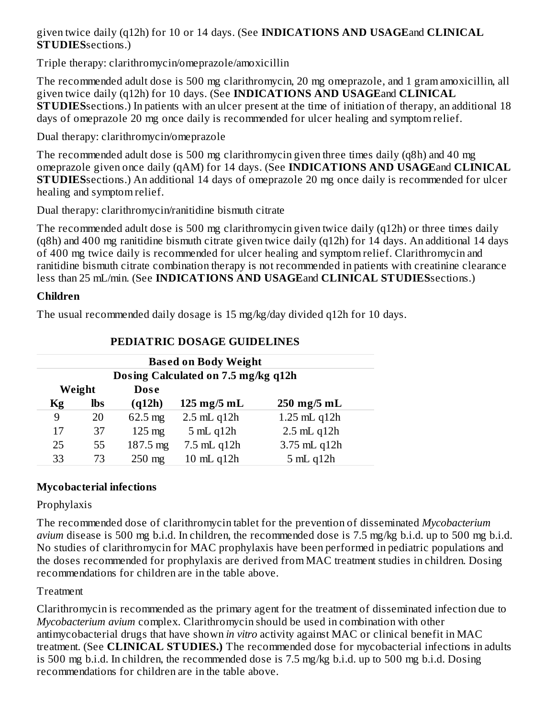### given twice daily (q12h) for 10 or 14 days. (See **INDICATIONS AND USAGE**and **CLINICAL STUDIES**sections.)

Triple therapy: clarithromycin/omeprazole/amoxicillin

The recommended adult dose is 500 mg clarithromycin, 20 mg omeprazole, and 1 gram amoxicillin, all given twice daily (q12h) for 10 days. (See **INDICATIONS AND USAGE**and **CLINICAL STUDIES**sections.) In patients with an ulcer present at the time of initiation of therapy, an additional 18 days of omeprazole 20 mg once daily is recommended for ulcer healing and symptom relief.

Dual therapy: clarithromycin/omeprazole

The recommended adult dose is 500 mg clarithromycin given three times daily (q8h) and 40 mg omeprazole given once daily (qAM) for 14 days. (See **INDICATIONS AND USAGE**and **CLINICAL STUDIES**sections.) An additional 14 days of omeprazole 20 mg once daily is recommended for ulcer healing and symptom relief.

Dual therapy: clarithromycin/ranitidine bismuth citrate

The recommended adult dose is 500 mg clarithromycin given twice daily (q12h) or three times daily (q8h) and 400 mg ranitidine bismuth citrate given twice daily (q12h) for 14 days. An additional 14 days of 400 mg twice daily is recommended for ulcer healing and symptom relief. Clarithromycin and ranitidine bismuth citrate combination therapy is not recommended in patients with creatinine clearance less than 25 mL/min. (See **INDICATIONS AND USAGE**and **CLINICAL STUDIES**sections.)

### **Children**

The usual recommended daily dosage is 15 mg/kg/day divided q12h for 10 days.

| <b>Based on Body Weight</b>         |            |                  |                        |                               |  |  |
|-------------------------------------|------------|------------------|------------------------|-------------------------------|--|--|
| Dosing Calculated on 7.5 mg/kg q12h |            |                  |                        |                               |  |  |
| Weight<br>Dose                      |            |                  |                        |                               |  |  |
| Kg                                  | <b>lbs</b> | (q12h)           | $125 \text{ mg}$ /5 mL | $250 \text{ mg}/5 \text{ mL}$ |  |  |
| 9                                   | 20         | $62.5$ mg        | $2.5$ mL $q12h$        | $1.25$ mL $q12h$              |  |  |
| 17                                  | 37         | $125 \text{ mg}$ | $5$ mL $q12h$          | $2.5$ mL $q12h$               |  |  |
| 25                                  | 55         | 187.5 mg         | 7.5 mL q12h            | 3.75 mL q12h                  |  |  |
| 33                                  | 73         | $250$ mg         | 10 mL q12h             | $5$ mL $q12h$                 |  |  |

# **PEDIATRIC DOSAGE GUIDELINES**

# **Mycobacterial infections**

#### Prophylaxis

The recommended dose of clarithromycin tablet for the prevention of disseminated *Mycobacterium avium* disease is 500 mg b.i.d. In children, the recommended dose is 7.5 mg/kg b.i.d. up to 500 mg b.i.d. No studies of clarithromycin for MAC prophylaxis have been performed in pediatric populations and the doses recommended for prophylaxis are derived from MAC treatment studies in children. Dosing recommendations for children are in the table above.

# Treatment

Clarithromycin is recommended as the primary agent for the treatment of disseminated infection due to *Mycobacterium avium* complex. Clarithromycin should be used in combination with other antimycobacterial drugs that have shown *in vitro* activity against MAC or clinical benefit in MAC treatment. (See **CLINICAL STUDIES.)** The recommended dose for mycobacterial infections in adults is 500 mg b.i.d. In children, the recommended dose is 7.5 mg/kg b.i.d. up to 500 mg b.i.d. Dosing recommendations for children are in the table above.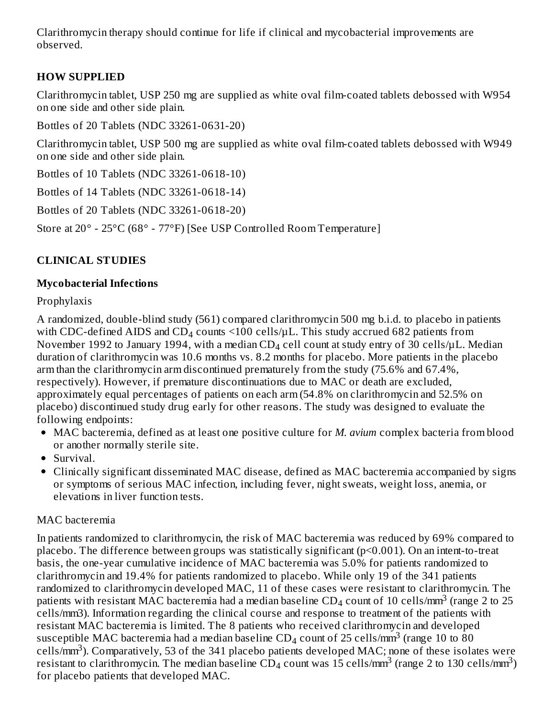Clarithromycin therapy should continue for life if clinical and mycobacterial improvements are observed.

# **HOW SUPPLIED**

Clarithromycin tablet, USP 250 mg are supplied as white oval film-coated tablets debossed with W954 on one side and other side plain.

Bottles of 20 Tablets (NDC 33261-0631-20)

Clarithromycin tablet, USP 500 mg are supplied as white oval film-coated tablets debossed with W949 on one side and other side plain.

Bottles of 10 Tablets (NDC 33261-0618-10)

Bottles of 14 Tablets (NDC 33261-0618-14)

Bottles of 20 Tablets (NDC 33261-0618-20)

Store at 20° - 25°C (68° - 77°F) [See USP Controlled Room Temperature]

# **CLINICAL STUDIES**

### **Mycobacterial Infections**

### Prophylaxis

A randomized, double-blind study (561) compared clarithromycin 500 mg b.i.d. to placebo in patients with CDC-defined AIDS and CD<sub>4</sub> counts  $\leq$ 100 cells/ $\mu$ L. This study accrued 682 patients from November 1992 to January 1994, with a median CD<sub>4</sub> cell count at study entry of 30 cells/ $\mu$ L. Median duration of clarithromycin was 10.6 months vs. 8.2 months for placebo. More patients in the placebo arm than the clarithromycin arm discontinued prematurely from the study (75.6% and 67.4%, respectively). However, if premature discontinuations due to MAC or death are excluded, approximately equal percentages of patients on each arm (54.8% on clarithromycin and 52.5% on placebo) discontinued study drug early for other reasons. The study was designed to evaluate the following endpoints:

- MAC bacteremia, defined as at least one positive culture for *M. avium* complex bacteria from blood or another normally sterile site.
- Survival.
- Clinically significant disseminated MAC disease, defined as MAC bacteremia accompanied by signs or symptoms of serious MAC infection, including fever, night sweats, weight loss, anemia, or elevations in liver function tests.

# MAC bacteremia

In patients randomized to clarithromycin, the risk of MAC bacteremia was reduced by 69% compared to placebo. The difference between groups was statistically significant (p<0.001). On an intent-to-treat basis, the one-year cumulative incidence of MAC bacteremia was 5.0% for patients randomized to clarithromycin and 19.4% for patients randomized to placebo. While only 19 of the 341 patients randomized to clarithromycin developed MAC, 11 of these cases were resistant to clarithromycin. The patients with resistant MAC bacteremia had a median baseline CD<sub>4</sub> count of 10 cells/mm<sup>3</sup> (range 2 to 25 cells/mm3). Information regarding the clinical course and response to treatment of the patients with resistant MAC bacteremia is limited. The 8 patients who received clarithromycin and developed susceptible MAC bacteremia had a median baseline CD<sub>4</sub> count of 25 cells/mm<sup>3</sup> (range 10 to 80 cells/ $\rm{mm}^3$ ). Comparatively, 53 of the 341 placebo patients developed MAC; none of these isolates were resistant to clarithromycin. The median baseline CD<sub>4</sub> count was 15 cells/mm<sup>3</sup> (range 2 to 130 cells/mm<sup>3</sup>) for placebo patients that developed MAC.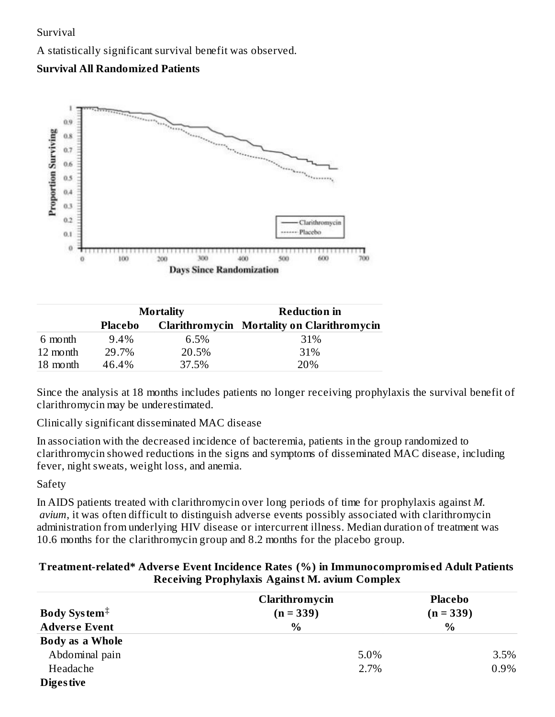### Survival

A statistically significant survival benefit was observed.

### **Survival All Randomized Patients**



|          | <b>Mortality</b> |       | <b>Reduction in</b>                               |  |
|----------|------------------|-------|---------------------------------------------------|--|
|          | Placebo          |       | <b>Clarithromycin</b> Mortality on Clarithromycin |  |
| 6 month  | 9.4%             | 6.5%  | 31%                                               |  |
| 12 month | 29.7%            | 20.5% | 31%                                               |  |
| 18 month | 46.4%            | 37.5% | 20%                                               |  |

Since the analysis at 18 months includes patients no longer receiving prophylaxis the survival benefit of clarithromycin may be underestimated.

Clinically significant disseminated MAC disease

In association with the decreased incidence of bacteremia, patients in the group randomized to clarithromycin showed reductions in the signs and symptoms of disseminated MAC disease, including fever, night sweats, weight loss, and anemia.

#### Safety

In AIDS patients treated with clarithromycin over long periods of time for prophylaxis against *M. avium*, it was often difficult to distinguish adverse events possibly associated with clarithromycin administration from underlying HIV disease or intercurrent illness. Median duration of treatment was 10.6 months for the clarithromycin group and 8.2 months for the placebo group.

#### **Treatment-related\* Advers e Event Incidence Rates (%) in Immunocompromis ed Adult Patients Receiving Prophylaxis Against M. avium Complex**

|                           | Clarithromycin | Placebo       |
|---------------------------|----------------|---------------|
| Body System $^{\ddagger}$ | $(n = 339)$    | $(n = 339)$   |
| <b>Adverse Event</b>      | $\frac{0}{0}$  | $\frac{0}{0}$ |
| <b>Body as a Whole</b>    |                |               |
| Abdominal pain            | 5.0%           | 3.5%          |
| Headache                  | 2.7%           | 0.9%          |
| <b>Diges tive</b>         |                |               |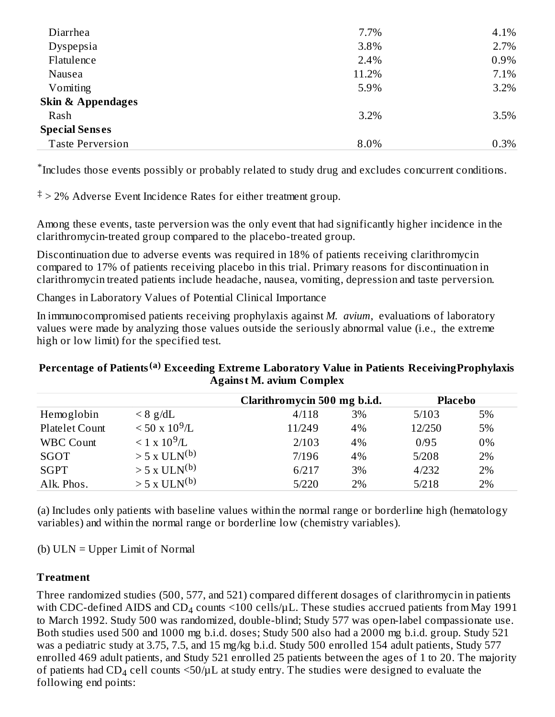| Diarrhea                     | 7.7%  | 4.1% |
|------------------------------|-------|------|
| Dyspepsia                    | 3.8%  | 2.7% |
| Flatulence                   | 2.4%  | 0.9% |
| Nausea                       | 11.2% | 7.1% |
| Vomiting                     | 5.9%  | 3.2% |
| <b>Skin &amp; Appendages</b> |       |      |
| Rash                         | 3.2%  | 3.5% |
| <b>Special Senses</b>        |       |      |
| <b>Taste Perversion</b>      | 8.0%  | 0.3% |
|                              |       |      |

\*Includes those events possibly or probably related to study drug and excludes concurrent conditions.

 $\ddagger$  > 2% Adverse Event Incidence Rates for either treatment group.

Among these events, taste perversion was the only event that had significantly higher incidence in the clarithromycin-treated group compared to the placebo-treated group.

Discontinuation due to adverse events was required in 18% of patients receiving clarithromycin compared to 17% of patients receiving placebo in this trial. Primary reasons for discontinuation in clarithromycin treated patients include headache, nausea, vomiting, depression and taste perversion.

Changes in Laboratory Values of Potential Clinical Importance

In immunocompromised patients receiving prophylaxis against *M. avium*, evaluations of laboratory values were made by analyzing those values outside the seriously abnormal value (i.e., the extreme high or low limit) for the specified test.

#### **Percentage of Patients Exceeding Extreme Laboratory Value in Patients ReceivingProphylaxis (a) Against M. avium Complex**

|                            |        |    | <b>Placebo</b>               |    |
|----------------------------|--------|----|------------------------------|----|
| $< 8$ g/dL                 | 4/118  | 3% | 5/103                        | 5% |
| $< 50 \times 10^9$ /L      | 11/249 | 4% | 12/250                       | 5% |
| $< 1 \times 10^9$ /L       | 2/103  | 4% | 0/95                         | 0% |
| $>$ 5 x ULN <sup>(b)</sup> | 7/196  | 4% | 5/208                        | 2% |
| $>$ 5 x ULN <sup>(b)</sup> | 6/217  | 3% | 4/232                        | 2% |
| $>$ 5 x ULN <sup>(b)</sup> | 5/220  | 2% | 5/218                        | 2% |
|                            |        |    | Clarithromycin 500 mg b.i.d. |    |

(a) Includes only patients with baseline values within the normal range or borderline high (hematology variables) and within the normal range or borderline low (chemistry variables).

(b) ULN = Upper Limit of Normal

#### **Treatment**

Three randomized studies (500, 577, and 521) compared different dosages of clarithromycin in patients with CDC-defined AIDS and CD<sub>4</sub> counts  $\leq$ 100 cells/ $\mu$ L. These studies accrued patients from May 1991 to March 1992. Study 500 was randomized, double-blind; Study 577 was open-label compassionate use. Both studies used 500 and 1000 mg b.i.d. doses; Study 500 also had a 2000 mg b.i.d. group. Study 521 was a pediatric study at 3.75, 7.5, and 15 mg/kg b.i.d. Study 500 enrolled 154 adult patients, Study 577 enrolled 469 adult patients, and Study 521 enrolled 25 patients between the ages of 1 to 20. The majority of patients had CD<sub>4</sub> cell counts  $\langle 50/\mu L \rangle$  at study entry. The studies were designed to evaluate the following end points: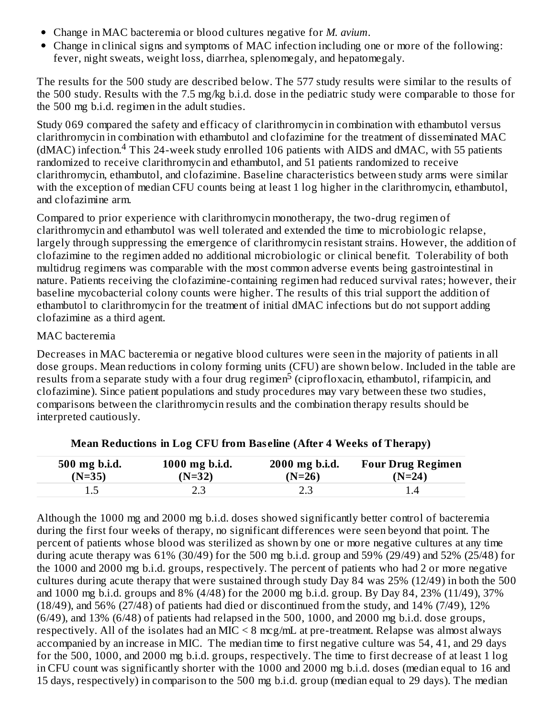- Change in MAC bacteremia or blood cultures negative for *M. avium*.
- Change in clinical signs and symptoms of MAC infection including one or more of the following: fever, night sweats, weight loss, diarrhea, splenomegaly, and hepatomegaly.

The results for the 500 study are described below. The 577 study results were similar to the results of the 500 study. Results with the 7.5 mg/kg b.i.d. dose in the pediatric study were comparable to those for the 500 mg b.i.d. regimen in the adult studies.

Study 069 compared the safety and efficacy of clarithromycin in combination with ethambutol versus clarithromycin in combination with ethambutol and clofazimine for the treatment of disseminated MAC ( $dMAC$ ) infection.<sup>4</sup> This 24-week study enrolled 106 patients with AIDS and  $dMAC$ , with 55 patients randomized to receive clarithromycin and ethambutol, and 51 patients randomized to receive clarithromycin, ethambutol, and clofazimine. Baseline characteristics between study arms were similar with the exception of median CFU counts being at least 1 log higher in the clarithromycin, ethambutol, and clofazimine arm.

Compared to prior experience with clarithromycin monotherapy, the two-drug regimen of clarithromycin and ethambutol was well tolerated and extended the time to microbiologic relapse, largely through suppressing the emergence of clarithromycin resistant strains. However, the addition of clofazimine to the regimen added no additional microbiologic or clinical benefit. Tolerability of both multidrug regimens was comparable with the most common adverse events being gastrointestinal in nature. Patients receiving the clofazimine-containing regimen had reduced survival rates; however, their baseline mycobacterial colony counts were higher. The results of this trial support the addition of ethambutol to clarithromycin for the treatment of initial dMAC infections but do not support adding clofazimine as a third agent.

#### MAC bacteremia

Decreases in MAC bacteremia or negative blood cultures were seen in the majority of patients in all dose groups. Mean reductions in colony forming units (CFU) are shown below. Included in the table are results from a separate study with a four drug regimen<sup>5</sup> (ciprofloxacin, ethambutol, rifampicin, and clofazimine). Since patient populations and study procedures may vary between these two studies, comparisons between the clarithromycin results and the combination therapy results should be interpreted cautiously.

| 500 mg b.i.d. | 1000 mg b.i.d. | 2000 mg b.i.d. | <b>Four Drug Regimen</b> |
|---------------|----------------|----------------|--------------------------|
| $(N=35)$      | $(N=32)$       | $(N=26)$       | $(N=24)$                 |
|               |                | 2.3            | 1.4                      |

| Mean Reductions in Log CFU from Baseline (After 4 Weeks of Therapy) |  |  |
|---------------------------------------------------------------------|--|--|
|---------------------------------------------------------------------|--|--|

Although the 1000 mg and 2000 mg b.i.d. doses showed significantly better control of bacteremia during the first four weeks of therapy, no significant differences were seen beyond that point. The percent of patients whose blood was sterilized as shown by one or more negative cultures at any time during acute therapy was 61% (30/49) for the 500 mg b.i.d. group and 59% (29/49) and 52% (25/48) for the 1000 and 2000 mg b.i.d. groups, respectively. The percent of patients who had 2 or more negative cultures during acute therapy that were sustained through study Day 84 was 25% (12/49) in both the 500 and 1000 mg b.i.d. groups and 8% (4/48) for the 2000 mg b.i.d. group. By Day 84, 23% (11/49), 37% (18/49), and 56% (27/48) of patients had died or discontinued from the study, and 14% (7/49), 12% (6/49), and 13% (6/48) of patients had relapsed in the 500, 1000, and 2000 mg b.i.d. dose groups, respectively. All of the isolates had an MIC < 8 mcg/mL at pre-treatment. Relapse was almost always accompanied by an increase in MIC. The median time to first negative culture was 54, 41, and 29 days for the 500, 1000, and 2000 mg b.i.d. groups, respectively. The time to first decrease of at least 1 log in CFU count was significantly shorter with the 1000 and 2000 mg b.i.d. doses (median equal to 16 and 15 days, respectively) in comparison to the 500 mg b.i.d. group (median equal to 29 days). The median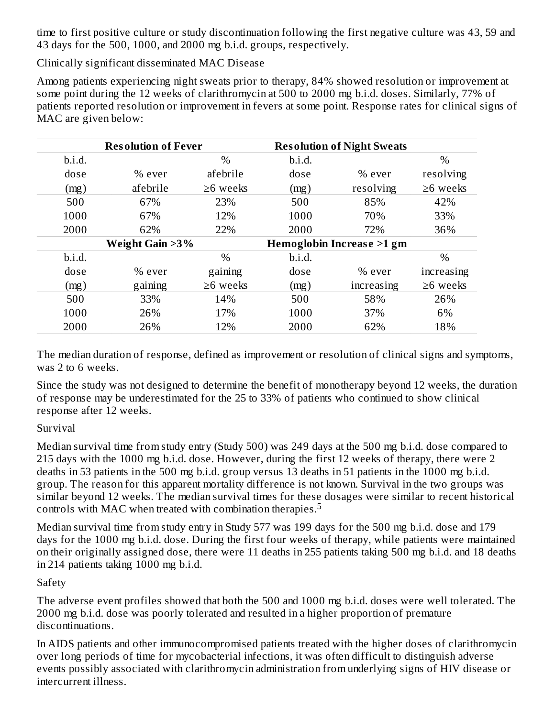time to first positive culture or study discontinuation following the first negative culture was 43, 59 and 43 days for the 500, 1000, and 2000 mg b.i.d. groups, respectively.

Clinically significant disseminated MAC Disease

Among patients experiencing night sweats prior to therapy, 84% showed resolution or improvement at some point during the 12 weeks of clarithromycin at 500 to 2000 mg b.i.d. doses. Similarly, 77% of patients reported resolution or improvement in fevers at some point. Response rates for clinical signs of MAC are given below:

|        | <b>Resolution of Fever</b> |                |        | <b>Resolution of Night Sweats</b> |                |
|--------|----------------------------|----------------|--------|-----------------------------------|----------------|
| b.i.d. |                            | $\%$           | b.i.d. |                                   | $\%$           |
| dose   | $%$ ever                   | afebrile       | dose   | % ever                            | resolving      |
| (mg)   | afebrile                   | $\geq 6$ weeks | (mg)   | resolving                         | $\geq 6$ weeks |
| 500    | 67%                        | 23%            | 500    | 85%                               | 42%            |
| 1000   | 67%                        | 12%            | 1000   | 70%                               | 33%            |
| 2000   | 62%                        | 22%            | 2000   | 72%                               | 36%            |
|        | <b>Weight Gain &gt;3%</b>  |                |        | Hemoglobin Increase $>1$ gm       |                |
| b.i.d. |                            | $\%$           | b.i.d. |                                   | $\%$           |
| dose   | % ever                     | gaining        | dose   | % ever                            | increasing     |
| (mg)   | gaining                    | $\geq 6$ weeks | (mg)   | increasing                        | $\geq 6$ weeks |
| 500    | 33%                        | 14%            | 500    | 58%                               | 26%            |
| 1000   | 26%                        | 17%            | 1000   | 37%                               | 6%             |
| 2000   | 26%                        | 12%            | 2000   | 62%                               | 18%            |

The median duration of response, defined as improvement or resolution of clinical signs and symptoms, was 2 to 6 weeks.

Since the study was not designed to determine the benefit of monotherapy beyond 12 weeks, the duration of response may be underestimated for the 25 to 33% of patients who continued to show clinical response after 12 weeks.

#### Survival

Median survival time from study entry (Study 500) was 249 days at the 500 mg b.i.d. dose compared to 215 days with the 1000 mg b.i.d. dose. However, during the first 12 weeks of therapy, there were 2 deaths in 53 patients in the 500 mg b.i.d. group versus 13 deaths in 51 patients in the 1000 mg b.i.d. group. The reason for this apparent mortality difference is not known. Survival in the two groups was similar beyond 12 weeks. The median survival times for these dosages were similar to recent historical controls with MAC when treated with combination therapies. 5

Median survival time from study entry in Study 577 was 199 days for the 500 mg b.i.d. dose and 179 days for the 1000 mg b.i.d. dose. During the first four weeks of therapy, while patients were maintained on their originally assigned dose, there were 11 deaths in 255 patients taking 500 mg b.i.d. and 18 deaths in 214 patients taking 1000 mg b.i.d.

# Safety

The adverse event profiles showed that both the 500 and 1000 mg b.i.d. doses were well tolerated. The 2000 mg b.i.d. dose was poorly tolerated and resulted in a higher proportion of premature discontinuations.

In AIDS patients and other immunocompromised patients treated with the higher doses of clarithromycin over long periods of time for mycobacterial infections, it was often difficult to distinguish adverse events possibly associated with clarithromycin administration from underlying signs of HIV disease or intercurrent illness.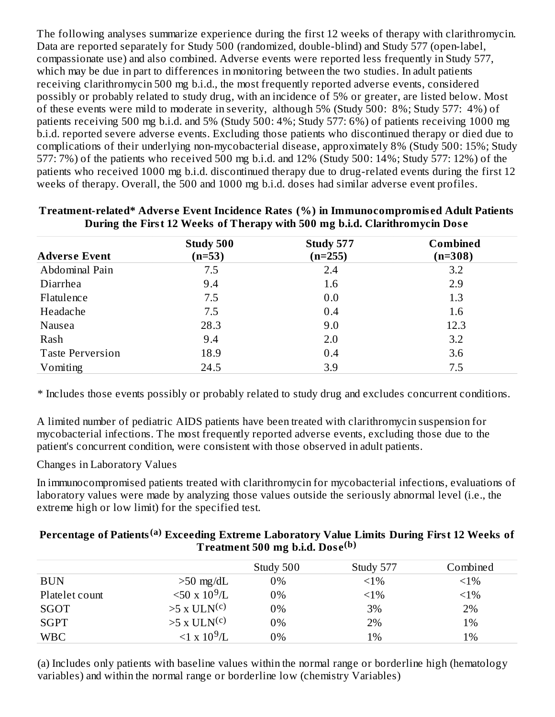The following analyses summarize experience during the first 12 weeks of therapy with clarithromycin. Data are reported separately for Study 500 (randomized, double-blind) and Study 577 (open-label, compassionate use) and also combined. Adverse events were reported less frequently in Study 577, which may be due in part to differences in monitoring between the two studies. In adult patients receiving clarithromycin 500 mg b.i.d., the most frequently reported adverse events, considered possibly or probably related to study drug, with an incidence of 5% or greater, are listed below. Most of these events were mild to moderate in severity, although 5% (Study 500: 8%; Study 577: 4%) of patients receiving 500 mg b.i.d. and 5% (Study 500: 4%; Study 577: 6%) of patients receiving 1000 mg b.i.d. reported severe adverse events. Excluding those patients who discontinued therapy or died due to complications of their underlying non-mycobacterial disease, approximately 8% (Study 500: 15%; Study 577: 7%) of the patients who received 500 mg b.i.d. and 12% (Study 500: 14%; Study 577: 12%) of the patients who received 1000 mg b.i.d. discontinued therapy due to drug-related events during the first 12 weeks of therapy. Overall, the 500 and 1000 mg b.i.d. doses had similar adverse event profiles.

| <b>Adverse Event</b>    | Study 500<br>$(n=53)$ | Study 577<br>$(n=255)$ | <b>Combined</b><br>$(n=308)$ |
|-------------------------|-----------------------|------------------------|------------------------------|
| Abdominal Pain          | 7.5                   | 2.4                    | 3.2                          |
| Diarrhea                | 9.4                   | 1.6                    | 2.9                          |
| Flatulence              | 7.5                   | 0.0                    | 1.3                          |
| Headache                | 7.5                   | 0.4                    | 1.6                          |
| Nausea                  | 28.3                  | 9.0                    | 12.3                         |
| Rash                    | 9.4                   | 2.0                    | 3.2                          |
| <b>Taste Perversion</b> | 18.9                  | 0.4                    | 3.6                          |
| Vomiting                | 24.5                  | 3.9                    | 7.5                          |

**Treatment-related\* Advers e Event Incidence Rates (%) in Immunocompromis ed Adult Patients During the First 12 Weeks of Therapy with 500 mg b.i.d. Clarithromycin Dos e**

\* Includes those events possibly or probably related to study drug and excludes concurrent conditions.

A limited number of pediatric AIDS patients have been treated with clarithromycin suspension for mycobacterial infections. The most frequently reported adverse events, excluding those due to the patient's concurrent condition, were consistent with those observed in adult patients.

#### Changes in Laboratory Values

In immunocompromised patients treated with clarithromycin for mycobacterial infections, evaluations of laboratory values were made by analyzing those values outside the seriously abnormal level (i.e., the extreme high or low limit) for the specified test.

#### **Percentage of Patients Exceeding Extreme Laboratory Value Limits During First 12 Weeks of (a) Treatment 500 mg b.i.d. Dos e (b)**

|                |                           | Study 500 | Study 577 | Combined |
|----------------|---------------------------|-----------|-----------|----------|
| <b>BUN</b>     | $>50$ mg/dL               | 0%        | $<1\%$    | $<1\%$   |
| Platelet count | $< 50 \times 10^9$ /L     | 0%        | $<1\%$    | $<1\%$   |
| SGOT           | $>5$ x ULN <sup>(c)</sup> | 0%        | 3%        | 2%       |
| <b>SGPT</b>    | $>5$ x ULN <sup>(c)</sup> | 0%        | 2%        | 1%       |
| <b>WBC</b>     | $\leq 1 \times 10^9$ /L   | 0%        | 1%        | 1%       |

(a) Includes only patients with baseline values within the normal range or borderline high (hematology variables) and within the normal range or borderline low (chemistry Variables)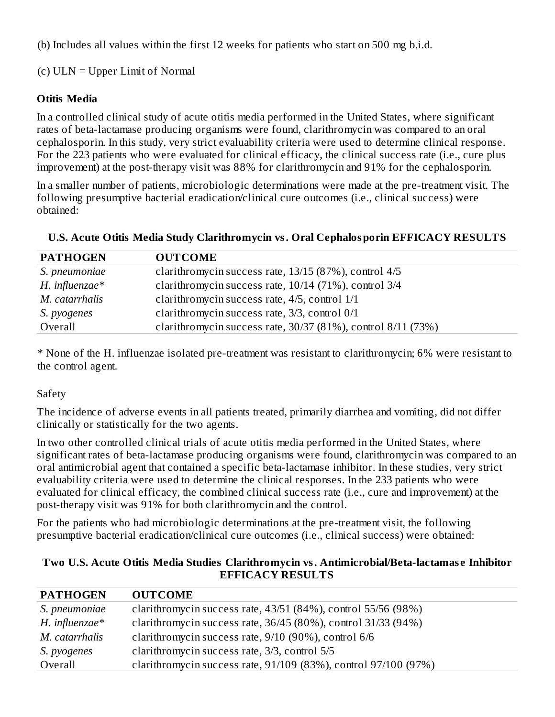(b) Includes all values within the first 12 weeks for patients who start on 500 mg b.i.d.

(c) ULN = Upper Limit of Normal

### **Otitis Media**

In a controlled clinical study of acute otitis media performed in the United States, where significant rates of beta-lactamase producing organisms were found, clarithromycin was compared to an oral cephalosporin. In this study, very strict evaluability criteria were used to determine clinical response. For the 223 patients who were evaluated for clinical efficacy, the clinical success rate (i.e., cure plus improvement) at the post-therapy visit was 88% for clarithromycin and 91% for the cephalosporin.

In a smaller number of patients, microbiologic determinations were made at the pre-treatment visit. The following presumptive bacterial eradication/clinical cure outcomes (i.e., clinical success) were obtained:

#### **U.S. Acute Otitis Media Study Clarithromycin vs. Oral Cephalosporin EFFICACY RESULTS**

| <b>PATHOGEN</b>  | <b>OUTCOME</b>                                               |
|------------------|--------------------------------------------------------------|
| S. pneumoniae    | clarithromycin success rate, 13/15 (87%), control 4/5        |
| $H.$ influenzae* | clarithromycin success rate, 10/14 (71%), control 3/4        |
| M. catarrhalis   | clarithromycin success rate, 4/5, control 1/1                |
| S. pyogenes      | clarithromycin success rate, 3/3, control 0/1                |
| Overall          | clarithromycin success rate, 30/37 (81%), control 8/11 (73%) |

\* None of the H. influenzae isolated pre-treatment was resistant to clarithromycin; 6% were resistant to the control agent.

#### Safety

The incidence of adverse events in all patients treated, primarily diarrhea and vomiting, did not differ clinically or statistically for the two agents.

In two other controlled clinical trials of acute otitis media performed in the United States, where significant rates of beta-lactamase producing organisms were found, clarithromycin was compared to an oral antimicrobial agent that contained a specific beta-lactamase inhibitor. In these studies, very strict evaluability criteria were used to determine the clinical responses. In the 233 patients who were evaluated for clinical efficacy, the combined clinical success rate (i.e., cure and improvement) at the post-therapy visit was 91% for both clarithromycin and the control.

For the patients who had microbiologic determinations at the pre-treatment visit, the following presumptive bacterial eradication/clinical cure outcomes (i.e., clinical success) were obtained:

#### **Two U.S. Acute Otitis Media Studies Clarithromycin vs. Antimicrobial/Beta-lactamas e Inhibitor EFFICACY RESULTS**

| <b>PATHOGEN</b>     | <b>OUTCOME</b>                                                      |
|---------------------|---------------------------------------------------------------------|
| S. pneumoniae       | clarithromycin success rate, $43/51$ (84%), control 55/56 (98%)     |
| $H.$ influenzae $*$ | clarithromycin success rate, $36/45$ (80%), control 31/33 (94%)     |
| M. catarrhalis      | clarithromycin success rate, 9/10 (90%), control 6/6                |
| S. pyogenes         | clarithromycin success rate, 3/3, control 5/5                       |
| Overall             | clarithromycin success rate, $91/109$ (83%), control $97/100$ (97%) |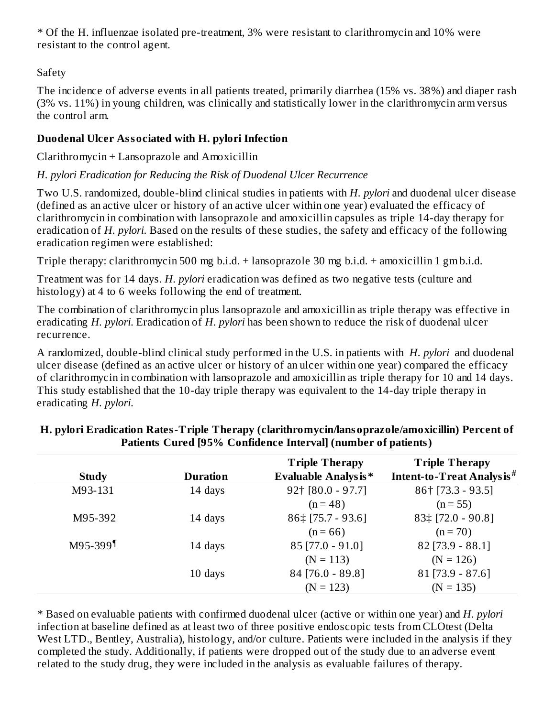\* Of the H. influenzae isolated pre-treatment, 3% were resistant to clarithromycin and 10% were resistant to the control agent.

Safety

The incidence of adverse events in all patients treated, primarily diarrhea (15% vs. 38%) and diaper rash (3% vs. 11%) in young children, was clinically and statistically lower in the clarithromycin arm versus the control arm.

# **Duodenal Ulcer Associated with H. pylori Infection**

Clarithromycin + Lansoprazole and Amoxicillin

*H. pylori Eradication for Reducing the Risk of Duodenal Ulcer Recurrence*

Two U.S. randomized, double-blind clinical studies in patients with *H. pylori* and duodenal ulcer disease (defined as an active ulcer or history of an active ulcer within one year) evaluated the efficacy of clarithromycin in combination with lansoprazole and amoxicillin capsules as triple 14-day therapy for eradication of *H. pylori*. Based on the results of these studies, the safety and efficacy of the following eradication regimen were established:

Triple therapy: clarithromycin 500 mg b.i.d. + lansoprazole 30 mg b.i.d. + amoxicillin 1 gm b.i.d.

Treatment was for 14 days. *H. pylori* eradication was defined as two negative tests (culture and histology) at 4 to 6 weeks following the end of treatment.

The combination of clarithromycin plus lansoprazole and amoxicillin as triple therapy was effective in eradicating *H. pylori*. Eradication of *H. pylori* has been shown to reduce the risk of duodenal ulcer recurrence.

A randomized, double-blind clinical study performed in the U.S. in patients with *H. pylori* and duodenal ulcer disease (defined as an active ulcer or history of an ulcer within one year) compared the efficacy of clarithromycin in combination with lansoprazole and amoxicillin as triple therapy for 10 and 14 days. This study established that the 10-day triple therapy was equivalent to the 14-day triple therapy in eradicating *H. pylori*.

|                        |                 | <b>Triple Therapy</b>      | <b>Triple Therapy</b>                 |
|------------------------|-----------------|----------------------------|---------------------------------------|
| <b>Study</b>           | <b>Duration</b> | <b>Evaluable Analysis*</b> | Intent-to-Treat Analysis <sup>#</sup> |
| M93-131                | 14 days         | $92$ † $[80.0 - 97.7]$     | $86$ † [73.3 - 93.5]                  |
|                        |                 | $(n = 48)$                 | $(n = 55)$                            |
| M95-392                | 14 days         | $86\ddagger$ [75.7 - 93.6] | $83 \ddagger [72.0 - 90.8]$           |
|                        |                 | $(n = 66)$                 | $(n = 70)$                            |
| $M95-399$ <sup>1</sup> | 14 days         | $85$ [77.0 - 91.0]         | $82$ [73.9 - 88.1]                    |
|                        |                 | $(N = 113)$                | $(N = 126)$                           |
|                        | 10 days         | 84 [76.0 - 89.8]           | $81$ [73.9 - 87.6]                    |
|                        |                 | $(N = 123)$                | $(N = 135)$                           |

### **H. pylori Eradication Rates-Triple Therapy (clarithromycin/lansoprazole/amoxicillin) Percent of Patients Cured [95% Confidence Interval] (number of patients)**

\* Based on evaluable patients with confirmed duodenal ulcer (active or within one year) and *H. pylori* infection at baseline defined as at least two of three positive endoscopic tests from CLOtest (Delta West LTD., Bentley, Australia), histology, and/or culture. Patients were included in the analysis if they completed the study. Additionally, if patients were dropped out of the study due to an adverse event related to the study drug, they were included in the analysis as evaluable failures of therapy.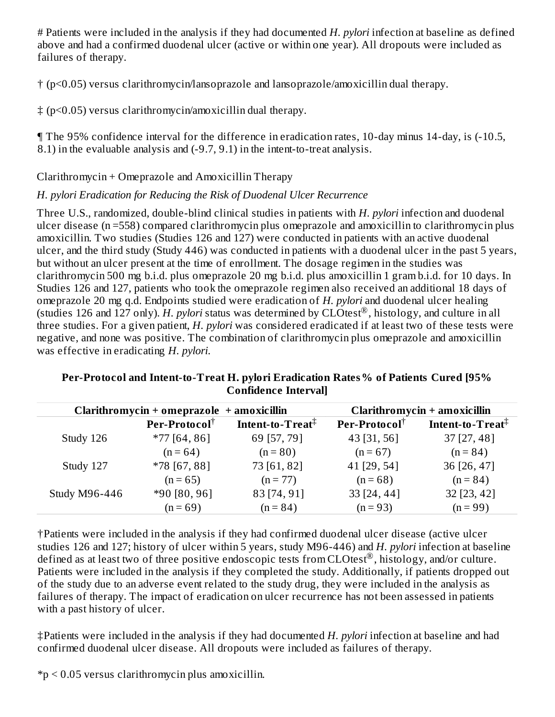# Patients were included in the analysis if they had documented *H. pylori* infection at baseline as defined above and had a confirmed duodenal ulcer (active or within one year). All dropouts were included as failures of therapy.

† (p<0.05) versus clarithromycin/lansoprazole and lansoprazole/amoxicillin dual therapy.

‡ (p<0.05) versus clarithromycin/amoxicillin dual therapy.

¶ The 95% confidence interval for the difference in eradication rates, 10-day minus 14-day, is (-10.5, 8.1) in the evaluable analysis and (-9.7, 9.1) in the intent-to-treat analysis.

Clarithromycin + Omeprazole and Amoxicillin Therapy

# *H. pylori Eradication for Reducing the Risk of Duodenal Ulcer Recurrence*

Three U.S., randomized, double-blind clinical studies in patients with *H. pylori* infection and duodenal ulcer disease (n =558) compared clarithromycin plus omeprazole and amoxicillin to clarithromycin plus amoxicillin. Two studies (Studies 126 and 127) were conducted in patients with an active duodenal ulcer, and the third study (Study 446) was conducted in patients with a duodenal ulcer in the past 5 years, but without an ulcer present at the time of enrollment. The dosage regimen in the studies was clarithromycin 500 mg b.i.d. plus omeprazole 20 mg b.i.d. plus amoxicillin 1 gram b.i.d. for 10 days. In Studies 126 and 127, patients who took the omeprazole regimen also received an additional 18 days of omeprazole 20 mg q.d. Endpoints studied were eradication of *H. pylori* and duodenal ulcer healing (studies 126 and 127 only).  $H$ . *pylori* status was determined by CLOtest<sup>®</sup>, histology, and culture in all three studies. For a given patient, *H. pylori* was considered eradicated if at least two of these tests were negative, and none was positive. The combination of clarithromycin plus omeprazole and amoxicillin was effective in eradicating *H. pylori*.

#### **Per-Protocol and Intent-to-Treat H. pylori Eradication Rates% of Patients Cured [95% Confidence Interval]**

| $Clarithromycin + omeprazole + amoxicillin$ |                           |                              |                           | Clarithromycin + amoxicillin |
|---------------------------------------------|---------------------------|------------------------------|---------------------------|------------------------------|
|                                             | Per-Protocol <sup>†</sup> | Intent-to-Treat <sup>‡</sup> | Per-Protocol <sup>†</sup> | Intent-to-Treat <sup>‡</sup> |
| Study 126                                   | $*77$ [64, 86]            | 69 [57, 79]                  | $43$ [31, 56]             | $37$ [27, 48]                |
|                                             | $(n = 64)$                | $(n = 80)$                   | $(n = 67)$                | $(n = 84)$                   |
| Study 127                                   | $*78$ [67, 88]            | 73 [61, 82]                  | 41 [29, 54]               | 36 [26, 47]                  |
|                                             | $(n = 65)$                | $(n = 77)$                   | $(n = 68)$                | $(n = 84)$                   |
| <b>Study M96-446</b>                        | $*90[80, 96]$             | 83 [74, 91]                  | 33 [24, 44]               | 32 [23, 42]                  |
|                                             | $(n = 69)$                | $(n = 84)$                   | $(n = 93)$                | $(n = 99)$                   |

†Patients were included in the analysis if they had confirmed duodenal ulcer disease (active ulcer studies 126 and 127; history of ulcer within 5 years, study M96-446) and *H. pylori* infection at baseline defined as at least two of three positive endoscopic tests from CLOtest<sup>®</sup>, histology, and/or culture. Patients were included in the analysis if they completed the study. Additionally, if patients dropped out of the study due to an adverse event related to the study drug, they were included in the analysis as failures of therapy. The impact of eradication on ulcer recurrence has not been assessed in patients with a past history of ulcer.

‡Patients were included in the analysis if they had documented *H. pylori* infection at baseline and had confirmed duodenal ulcer disease. All dropouts were included as failures of therapy.

\*p < 0.05 versus clarithromycin plus amoxicillin.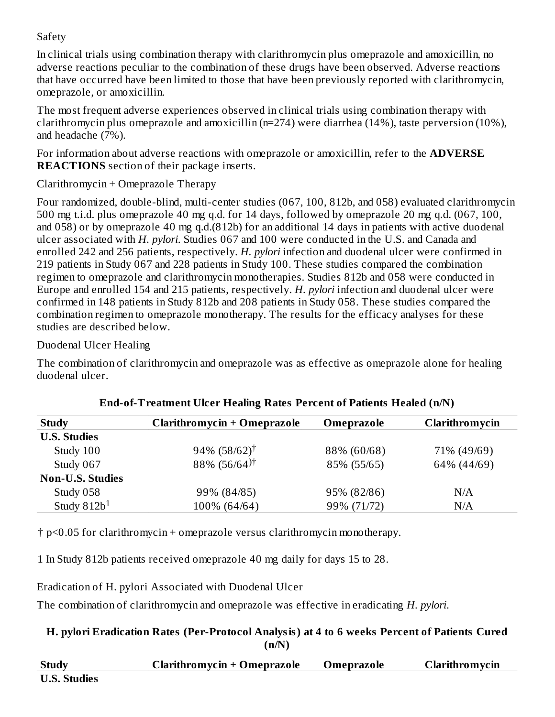# Safety

In clinical trials using combination therapy with clarithromycin plus omeprazole and amoxicillin, no adverse reactions peculiar to the combination of these drugs have been observed. Adverse reactions that have occurred have been limited to those that have been previously reported with clarithromycin, omeprazole, or amoxicillin.

The most frequent adverse experiences observed in clinical trials using combination therapy with clarithromycin plus omeprazole and amoxicillin (n=274) were diarrhea (14%), taste perversion (10%), and headache (7%).

For information about adverse reactions with omeprazole or amoxicillin, refer to the **ADVERSE REACTIONS** section of their package inserts.

Clarithromycin + Omeprazole Therapy

Four randomized, double-blind, multi-center studies (067, 100, 812b, and 058) evaluated clarithromycin 500 mg t.i.d. plus omeprazole 40 mg q.d. for 14 days, followed by omeprazole 20 mg q.d. (067, 100, and 058) or by omeprazole 40 mg q.d.(812b) for an additional 14 days in patients with active duodenal ulcer associated with *H. pylori*. Studies 067 and 100 were conducted in the U.S. and Canada and enrolled 242 and 256 patients, respectively. *H. pylori* infection and duodenal ulcer were confirmed in 219 patients in Study 067 and 228 patients in Study 100. These studies compared the combination regimen to omeprazole and clarithromycin monotherapies. Studies 812b and 058 were conducted in Europe and enrolled 154 and 215 patients, respectively. *H. pylori* infection and duodenal ulcer were confirmed in 148 patients in Study 812b and 208 patients in Study 058. These studies compared the combination regimen to omeprazole monotherapy. The results for the efficacy analyses for these studies are described below.

# Duodenal Ulcer Healing

The combination of clarithromycin and omeprazole was as effective as omeprazole alone for healing duodenal ulcer.

| <b>Study</b>            | Clarithromycin + Omeprazole | Omeprazole  | Clarithromycin |
|-------------------------|-----------------------------|-------------|----------------|
| <b>U.S. Studies</b>     |                             |             |                |
| Study 100               | $94\%$ (58/62) <sup>†</sup> | 88% (60/68) | 71% (49/69)    |
| Study 067               | $88\%$ (56/64) <sup>†</sup> | 85% (55/65) | 64% (44/69)    |
| <b>Non-U.S. Studies</b> |                             |             |                |
| Study 058               | 99% (84/85)                 | 95% (82/86) | N/A            |
| Study $812b1$           | 100% (64/64)                | 99% (71/72) | N/A            |

| End-of-Treatment Ulcer Healing Rates Percent of Patients Healed (n/N) |  |
|-----------------------------------------------------------------------|--|
|-----------------------------------------------------------------------|--|

† p<0.05 for clarithromycin + omeprazole versus clarithromycin monotherapy.

1 In Study 812b patients received omeprazole 40 mg daily for days 15 to 28.

Eradication of H. pylori Associated with Duodenal Ulcer

The combination of clarithromycin and omeprazole was effective in eradicating *H. pylori*.

# **H. pylori Eradication Rates (Per-Protocol Analysis) at 4 to 6 weeks Percent of Patients Cured (n/N)**

| <b>Study</b>        | Clarithromycin + Omeprazole | Omeprazole | Clarithromycin |
|---------------------|-----------------------------|------------|----------------|
| <b>U.S. Studies</b> |                             |            |                |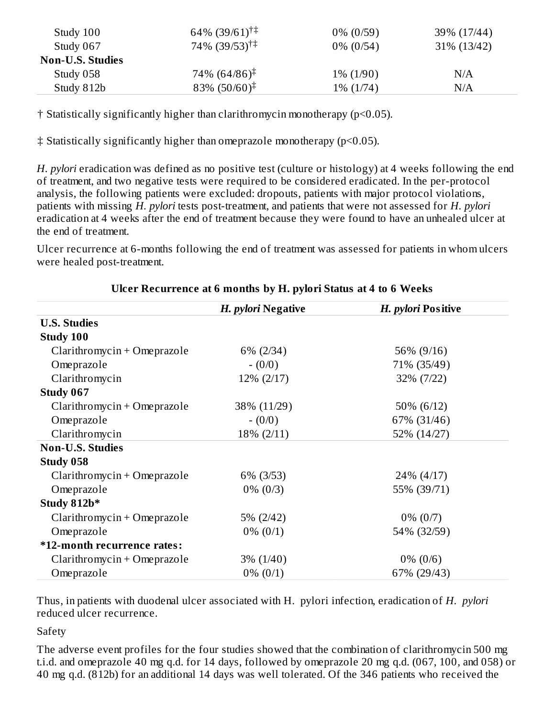| Study 100               | $64\%$ (39/61) <sup>†‡</sup> | $0\% (0/59)$ | 39% (17/44) |
|-------------------------|------------------------------|--------------|-------------|
| Study 067               | $74\%$ (39/53) <sup>†‡</sup> | $0\%$ (0/54) | 31% (13/42) |
| <b>Non-U.S. Studies</b> |                              |              |             |
| Study 058               | $74\%$ (64/86) <sup>‡</sup>  | $1\% (1/90)$ | N/A         |
| Study 812b              | $83\%$ (50/60) <sup>‡</sup>  | $1\%$ (1/74) | N/A         |

† Statistically significantly higher than clarithromycin monotherapy (p<0.05).

‡ Statistically significantly higher than omeprazole monotherapy (p<0.05).

*H. pylori* eradication was defined as no positive test (culture or histology) at 4 weeks following the end of treatment, and two negative tests were required to be considered eradicated. In the per-protocol analysis, the following patients were excluded: dropouts, patients with major protocol violations, patients with missing *H. pylori* tests post-treatment, and patients that were not assessed for *H. pylori* eradication at 4 weeks after the end of treatment because they were found to have an unhealed ulcer at the end of treatment.

Ulcer recurrence at 6-months following the end of treatment was assessed for patients in whom ulcers were healed post-treatment.

|                               | H. pylori Negative | H. pylori Positive |
|-------------------------------|--------------------|--------------------|
| <b>U.S. Studies</b>           |                    |                    |
| Study 100                     |                    |                    |
| Clarithromycin + Omeprazole   | 6% (2/34)          | 56% (9/16)         |
| Omeprazole                    | $- (0/0)$          | 71% (35/49)        |
| Clarithromycin                | 12% (2/17)         | 32% (7/22)         |
| Study 067                     |                    |                    |
| Clarithromycin + Omeprazole   | 38% (11/29)        | 50% (6/12)         |
| Omeprazole                    | $-(0/0)$           | 67% (31/46)        |
| Clarithromycin                | 18% (2/11)         | 52% (14/27)        |
| <b>Non-U.S. Studies</b>       |                    |                    |
| Study 058                     |                    |                    |
| $Clarithromycin + Omeprazole$ | 6% (3/53)          | 24% (4/17)         |
| Omeprazole                    | $0\%$ (0/3)        | 55% (39/71)        |
| Study 812b*                   |                    |                    |
| Clarithromycin + Omeprazole   | 5% (2/42)          | $0\% (0/7)$        |
| Omeprazole                    | $0\% (0/1)$        | 54% (32/59)        |
| *12-month recurrence rates:   |                    |                    |
| Clarithromycin + Omeprazole   | 3% (1/40)          | $0\% (0/6)$        |
| Omeprazole                    | $0\% (0/1)$        | 67% (29/43)        |

| Ulcer Recurrence at 6 months by H. pylori Status at 4 to 6 Weeks |  |  |  |
|------------------------------------------------------------------|--|--|--|
|                                                                  |  |  |  |

Thus, in patients with duodenal ulcer associated with H. pylori infection, eradication of *H. pylori* reduced ulcer recurrence.

Safety

The adverse event profiles for the four studies showed that the combination of clarithromycin 500 mg t.i.d. and omeprazole 40 mg q.d. for 14 days, followed by omeprazole 20 mg q.d. (067, 100, and 058) or 40 mg q.d. (812b) for an additional 14 days was well tolerated. Of the 346 patients who received the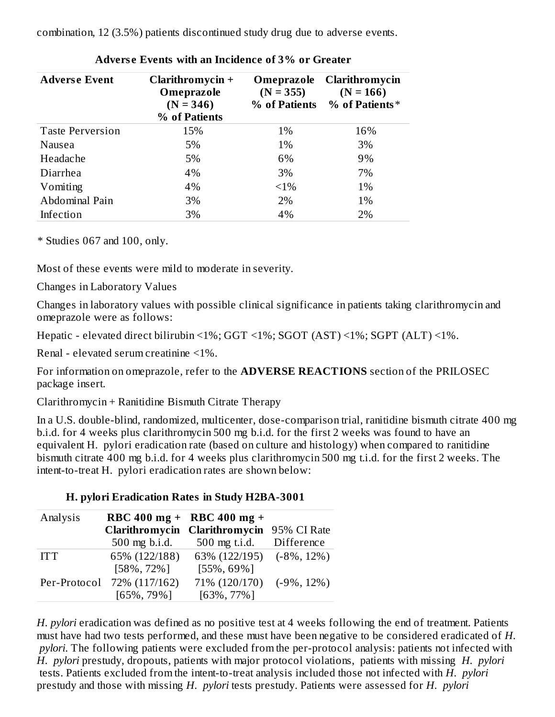combination, 12 (3.5%) patients discontinued study drug due to adverse events.

| <b>Adverse Event</b>    | Clarithromycin $+$<br>Omeprazole<br>$(N = 346)$<br>% of Patients | Omeprazole<br>$(N = 355)$ | Clarithromycin<br>$(N = 166)$<br>% of Patients % of Patients* |
|-------------------------|------------------------------------------------------------------|---------------------------|---------------------------------------------------------------|
| <b>Taste Perversion</b> | 15%                                                              | 1%                        | 16%                                                           |
| Nausea                  | 5%                                                               | 1%                        | 3%                                                            |
| Headache                | 5%                                                               | 6%                        | 9%                                                            |
| Diarrhea                | 4%                                                               | 3%                        | 7%                                                            |
| Vomiting                | 4%                                                               | $<1\%$                    | 1%                                                            |
| Abdominal Pain          | 3%                                                               | 2%                        | 1%                                                            |
| Infection               | 3%                                                               | 4%                        | 2%                                                            |

| Adverse Events with an Incidence of 3% or Greater |  |  |
|---------------------------------------------------|--|--|
|---------------------------------------------------|--|--|

\* Studies 067 and 100, only.

Most of these events were mild to moderate in severity.

Changes in Laboratory Values

Changes in laboratory values with possible clinical significance in patients taking clarithromycin and omeprazole were as follows:

Hepatic - elevated direct bilirubin <1%; GGT <1%; SGOT (AST) <1%; SGPT (ALT) <1%.

Renal - elevated serum creatinine <1%.

For information on omeprazole, refer to the **ADVERSE REACTIONS** section of the PRILOSEC package insert.

Clarithromycin + Ranitidine Bismuth Citrate Therapy

In a U.S. double-blind, randomized, multicenter, dose-comparison trial, ranitidine bismuth citrate 400 mg b.i.d. for 4 weeks plus clarithromycin 500 mg b.i.d. for the first 2 weeks was found to have an equivalent H. pylori eradication rate (based on culture and histology) when compared to ranitidine bismuth citrate 400 mg b.i.d. for 4 weeks plus clarithromycin 500 mg t.i.d. for the first 2 weeks. The intent-to-treat H. pylori eradication rates are shown below:

#### **H. pylori Eradication Rates in Study H2BA-3001**

| Analysis   |                            | RBC 400 mg + RBC 400 mg +                 |            |
|------------|----------------------------|-------------------------------------------|------------|
|            |                            | Clarithromycin Clarithromycin 95% CI Rate |            |
|            | $500 \text{ mg}$ b.i.d.    | 500 mg t.i.d.                             | Difference |
| <b>ITT</b> | 65% (122/188)              | 63% (122/195) (-8%, 12%)                  |            |
|            | $[58\%, 72\%]$             | $[55\%, 69\%]$                            |            |
|            | Per-Protocol 72% (117/162) | $71\% (120/170)$ $(-9\%, 12\%)$           |            |
|            | $[65\%, 79\%]$             | $[63\%, 77\%]$                            |            |

*H. pylori* eradication was defined as no positive test at 4 weeks following the end of treatment. Patients must have had two tests performed, and these must have been negative to be considered eradicated of *H. pylori*. The following patients were excluded from the per-protocol analysis: patients not infected with *H. pylori* prestudy, dropouts, patients with major protocol violations, patients with missing *H. pylori* tests. Patients excluded from the intent-to-treat analysis included those not infected with *H. pylori* prestudy and those with missing *H. pylori* tests prestudy. Patients were assessed for *H. pylori*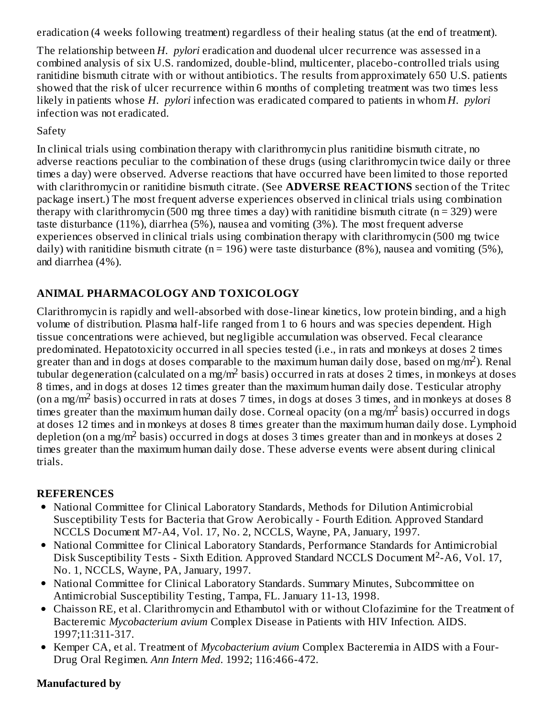eradication (4 weeks following treatment) regardless of their healing status (at the end of treatment).

The relationship between *H. pylori* eradication and duodenal ulcer recurrence was assessed in a combined analysis of six U.S. randomized, double-blind, multicenter, placebo-controlled trials using ranitidine bismuth citrate with or without antibiotics. The results from approximately 650 U.S. patients showed that the risk of ulcer recurrence within 6 months of completing treatment was two times less likely in patients whose *H. pylori* infection was eradicated compared to patients in whom *H. pylori* infection was not eradicated.

#### Safety

In clinical trials using combination therapy with clarithromycin plus ranitidine bismuth citrate, no adverse reactions peculiar to the combination of these drugs (using clarithromycin twice daily or three times a day) were observed. Adverse reactions that have occurred have been limited to those reported with clarithromycin or ranitidine bismuth citrate. (See **ADVERSE REACTIONS** section of the Tritec package insert.) The most frequent adverse experiences observed in clinical trials using combination therapy with clarithromycin (500 mg three times a day) with ranitidine bismuth citrate ( $n = 329$ ) were taste disturbance (11%), diarrhea (5%), nausea and vomiting (3%). The most frequent adverse experiences observed in clinical trials using combination therapy with clarithromycin (500 mg twice daily) with ranitidine bismuth citrate ( $n = 196$ ) were taste disturbance (8%), nausea and vomiting (5%), and diarrhea (4%).

# **ANIMAL PHARMACOLOGY AND TOXICOLOGY**

Clarithromycin is rapidly and well-absorbed with dose-linear kinetics, low protein binding, and a high volume of distribution. Plasma half-life ranged from 1 to 6 hours and was species dependent. High tissue concentrations were achieved, but negligible accumulation was observed. Fecal clearance predominated. Hepatotoxicity occurred in all species tested (i.e., in rats and monkeys at doses 2 times greater than and in dogs at doses comparable to the maximum human daily dose, based on mg/m<sup>2</sup>). Renal tubular degeneration (calculated on a mg/m<sup>2</sup> basis) occurred in rats at doses 2 times, in monkeys at doses 8 times, and in dogs at doses 12 times greater than the maximum human daily dose. Testicular atrophy (on a mg/m<sup>2</sup> basis) occurred in rats at doses 7 times, in dogs at doses 3 times, and in monkeys at doses 8 times greater than the maximum human daily dose. Corneal opacity (on a mg/m<sup>2</sup> basis) occurred in dogs at doses 12 times and in monkeys at doses 8 times greater than the maximum human daily dose. Lymphoid depletion (on a mg/m<sup>2</sup> basis) occurred in dogs at doses 3 times greater than and in monkeys at doses 2 times greater than the maximum human daily dose. These adverse events were absent during clinical trials.

#### **REFERENCES**

- National Committee for Clinical Laboratory Standards, Methods for Dilution Antimicrobial Susceptibility Tests for Bacteria that Grow Aerobically - Fourth Edition. Approved Standard NCCLS Document M7-A4, Vol. 17, No. 2, NCCLS, Wayne, PA, January, 1997.
- National Committee for Clinical Laboratory Standards, Performance Standards for Antimicrobial Disk Susceptibility Tests - Sixth Edition. Approved Standard NCCLS Document  $M^2$ -A6, Vol. 17, No. 1, NCCLS, Wayne, PA, January, 1997.
- National Committee for Clinical Laboratory Standards. Summary Minutes, Subcommittee on Antimicrobial Susceptibility Testing, Tampa, FL. January 11-13, 1998.
- Chaisson RE, et al. Clarithromycin and Ethambutol with or without Clofazimine for the Treatment of Bacteremic *Mycobacterium avium* Complex Disease in Patients with HIV Infection. AIDS. 1997;11:311-317.
- Kemper CA, et al. Treatment of *Mycobacterium avium* Complex Bacteremia in AIDS with a Four-Drug Oral Regimen. *Ann Intern Med*. 1992; 116:466-472.

#### **Manufactured by**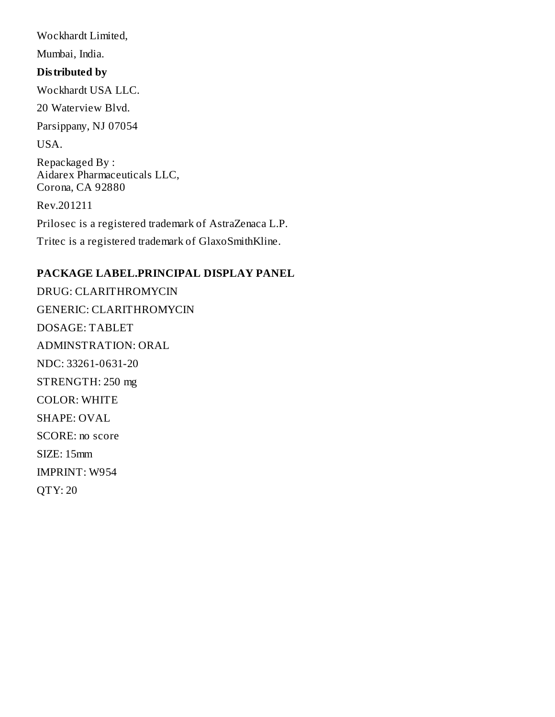Wockhardt Limited, Mumbai, India. **Distributed by** Wockhardt USA LLC. 20 Waterview Blvd. Parsippany, NJ 07054 USA. Repackaged By : Aidarex Pharmaceuticals LLC, Corona, CA 92880 Rev.201211 Prilosec is a registered trademark of AstraZenaca L.P. Tritec is a registered trademark of GlaxoSmithKline.

#### **PACKAGE LABEL.PRINCIPAL DISPLAY PANEL**

DRUG: CLARITHROMYCIN GENERIC: CLARITHROMYCIN DOSAGE: TABLET ADMINSTRATION: ORAL NDC: 33261-0631-20 STRENGTH: 250 mg COLOR: WHITE SHAPE: OVAL SCORE: no score SIZE: 15mm IMPRINT: W954 QTY: 20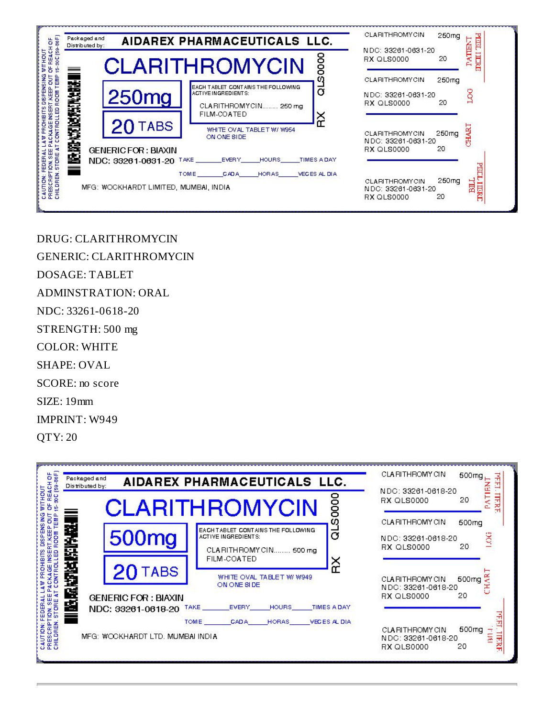| 38F<br>ő                                          | Packaged and<br>AIDAREX PHARMACEUTICALS LLC.<br>Distributed by:                                    | <b>CLARITHROMYCIN</b><br>250mg<br><b>Proper</b>                                                   |
|---------------------------------------------------|----------------------------------------------------------------------------------------------------|---------------------------------------------------------------------------------------------------|
| ţ<br>ä                                            | 0000<br>CLARITHROMYCIN                                                                             | PATTENT<br>NDC: 33261-0631-20<br><b>Partiti</b><br>20<br><b>RX QLS0000</b>                        |
| $rac{5}{15}$                                      | Ω<br>EACH TABLET CONTAINS THE FOLLOWING                                                            | CLARITHROMYCIN<br>250mg                                                                           |
| DISPENSING                                        | $\vec{\sigma}$<br>250 <sub>mg</sub><br>ACTIVE INGREDIENTS:<br>CLARITHROMYCIN 250 mg<br>FILM-COATED | es<br>2<br>NDC: 33261-0631-20<br>20<br>RX QLS0000                                                 |
| BREACHARD AN THANGE III<br>CKAGE INSERT.          | χ<br><b>TABS</b><br>WHITE OVAL TABLET W/ W954<br>ON ONE SIDE<br><b>GENERIC FOR: BIAXIN</b>         | ART<br>250mg<br><b>CLARITHROMYCIN</b><br>NDC: 33261-0631-20<br>20<br><b>RX QLS0000</b>            |
| FEDERAL<br>STORE                                  | <b>HOURS</b><br>NDC: 33261-0631-20 TAKE<br><b>EVERY</b><br><b>TIMES A DAY</b>                      |                                                                                                   |
| RIPTION<br>DREN.<br><b>CAULE</b><br>RRBS<br>CHILL | <b>TOME</b><br>CADA<br><b>HORAS</b><br>VECES AL DIA<br>MFG: WOOKHARDT LIMITED, MUMBAI, INDIA       | <b>PELL HERE</b><br>250mg<br>CLARITHROMYCIN<br>逗<br>NDC: 33261-0631-20<br>20<br><b>RX QLS0000</b> |

DRUG: CLARITHROMYCIN GENERIC: CLARITHROMYCIN

DOSAGE: TABLET

ADMINSTRATION: ORAL

NDC: 33261-0618-20

STRENGTH: 500 mg

COLOR: WHITE

SHAPE: OVAL

SCORE: no score

SIZE: 19mm

IMPRINT: W949

QTY: 20

| டம்<br>$\circ$<br>屬<br>Ŧ<br>EAC<br>등    | Packaged and<br>AIDAREX PHARMACEUTICALS LLC.<br>Distributed by:                                                      |                                                                           | <b>CLARITHROMY CIN</b><br>500mg<br>- 프<br>프<br>NDC: 33261-0618-20                               |
|-----------------------------------------|----------------------------------------------------------------------------------------------------------------------|---------------------------------------------------------------------------|-------------------------------------------------------------------------------------------------|
| $\alpha$<br>ē<br>告                      | CLARITHROMYCIN                                                                                                       | 0000                                                                      | Ę<br>Ę<br>20<br><b>RX QLS0000</b><br>ē                                                          |
| 5<br><b>IBT.KEE</b>                     | EACH TABLET CONTAINS THE FOLLOWING<br>500 <sub>mg</sub><br><b>ACTIVE INGREDIENTS:</b>                                | $\overline{0}$<br>$\vec{\sigma}$                                          | <b>CLARITHROMY CIN</b><br>500mg<br>1.0G<br>NDC: 33261-0618-20                                   |
| ATROI                                   | á<br>CLARITHROMY CIN.<br>FILM-COATED                                                                                 | 500 mg<br>λX                                                              | 20<br><b>RX QLS0000</b>                                                                         |
| る                                       | 葛登<br><b>TABS</b><br>ON ONE SIDE                                                                                     | WHITE OVAL TABLET W/ W949                                                 | <b>CLARITHROMY CIN</b><br>500mg<br>NDC: 33261-0618-20<br>20<br><b>RX QLS0000</b>                |
| 불풍분<br><b>STORE</b><br>õ                | 医肉团<br><b>GENERIC FOR: BIAXIN</b><br><b>EVERY</b><br><b>TAKE</b><br>NDC: 33261-0618-20<br><b>TOME</b><br><b>CADA</b> | <b>HOURS</b><br><b>TIMES A DAY</b><br><b>HORAS</b><br><b>VECES AL DIA</b> |                                                                                                 |
| <b>DREN</b><br>ē<br>gπ<br>CAUT<br>PRESI | MFG: WOCKHARDT LTD. MUMBALINDIA                                                                                      |                                                                           | 500mg<br><b>CLARITHROMY CIN</b><br><b>TERF</b><br>NDC: 33261-0618-20<br>20<br><b>RX QLS0000</b> |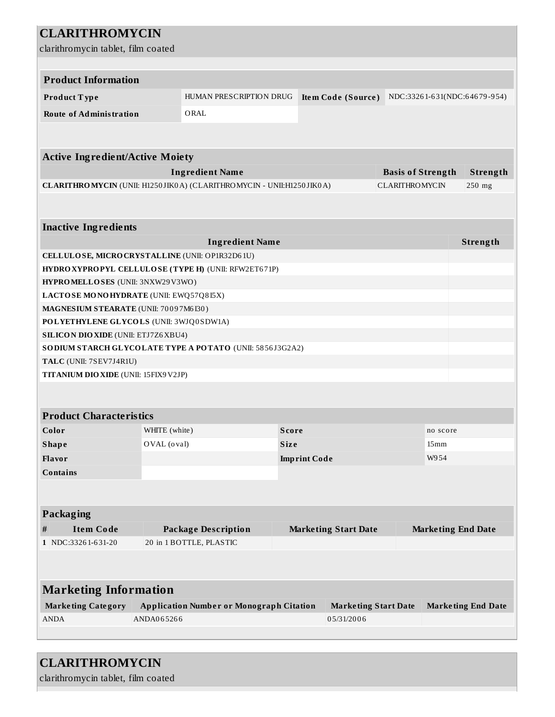| <b>CLARITHROMYCIN</b>                       |                                                                      |                     |                             |                          |                           |                              |
|---------------------------------------------|----------------------------------------------------------------------|---------------------|-----------------------------|--------------------------|---------------------------|------------------------------|
| clarithromycin tablet, film coated          |                                                                      |                     |                             |                          |                           |                              |
|                                             |                                                                      |                     |                             |                          |                           |                              |
| <b>Product Information</b>                  |                                                                      |                     |                             |                          |                           |                              |
| Product Type                                | HUMAN PRESCRIPTION DRUG                                              |                     | <b>Item Code (Source)</b>   |                          |                           | NDC:33261-631(NDC:64679-954) |
| <b>Route of Administration</b>              | ORAL                                                                 |                     |                             |                          |                           |                              |
|                                             |                                                                      |                     |                             |                          |                           |                              |
|                                             |                                                                      |                     |                             |                          |                           |                              |
| <b>Active Ingredient/Active Moiety</b>      |                                                                      |                     |                             |                          |                           |                              |
|                                             | <b>Ingredient Name</b>                                               |                     |                             | <b>Basis of Strength</b> |                           | Strength                     |
|                                             | CLARITHROMYCIN (UNII: H1250JIK0A) (CLARITHROMYCIN - UNII:H1250JIK0A) |                     |                             | <b>CLARITHROMYCIN</b>    |                           | 250 mg                       |
|                                             |                                                                      |                     |                             |                          |                           |                              |
| <b>Inactive Ingredients</b>                 |                                                                      |                     |                             |                          |                           |                              |
|                                             | <b>Ingredient Name</b>                                               |                     |                             |                          |                           | Strength                     |
|                                             | CELLULOSE, MICRO CRYSTALLINE (UNII: OP1R32D61U)                      |                     |                             |                          |                           |                              |
|                                             | HYDROXYPROPYL CELLULOSE (TYPE H) (UNII: RFW2ET671P)                  |                     |                             |                          |                           |                              |
| HYPROMELLOSES (UNII: 3NXW29V3WO)            |                                                                      |                     |                             |                          |                           |                              |
| LACTOSE MONOHYDRATE (UNII: EWQ57Q8I5X)      |                                                                      |                     |                             |                          |                           |                              |
| MAGNESIUM STEARATE (UNII: 70097M6I30)       |                                                                      |                     |                             |                          |                           |                              |
| POLYETHYLENE GLYCOLS (UNII: 3WJQ0SDW1A)     |                                                                      |                     |                             |                          |                           |                              |
| <b>SILICON DIO XIDE (UNII: ETJ7Z6 XBU4)</b> |                                                                      |                     |                             |                          |                           |                              |
|                                             | SO DIUM STARCH GLYCOLATE TYPE A POTATO (UNII: 5856J3G2A2)            |                     |                             |                          |                           |                              |
| TALC (UNII: 7SEV7J4R1U)                     |                                                                      |                     |                             |                          |                           |                              |
| TITANIUM DIO XIDE (UNII: 15FIX9 V2JP)       |                                                                      |                     |                             |                          |                           |                              |
|                                             |                                                                      |                     |                             |                          |                           |                              |
| <b>Product Characteristics</b>              |                                                                      |                     |                             |                          |                           |                              |
| Color                                       | WHITE (white)                                                        | <b>Score</b>        |                             |                          | no score                  |                              |
| <b>Shape</b>                                | OVAL (oval)                                                          | Size                |                             |                          | 15mm                      |                              |
| Flavor                                      |                                                                      | <b>Imprint Code</b> |                             |                          | W954                      |                              |
| <b>Contains</b>                             |                                                                      |                     |                             |                          |                           |                              |
|                                             |                                                                      |                     |                             |                          |                           |                              |
|                                             |                                                                      |                     |                             |                          |                           |                              |
| Packaging                                   |                                                                      |                     |                             |                          |                           |                              |
| $\#$<br><b>Item Code</b>                    | <b>Package Description</b>                                           |                     | <b>Marketing Start Date</b> |                          | <b>Marketing End Date</b> |                              |
| 1 NDC:33261-631-20                          | 20 in 1 BOTTLE, PLASTIC                                              |                     |                             |                          |                           |                              |
|                                             |                                                                      |                     |                             |                          |                           |                              |
|                                             |                                                                      |                     |                             |                          |                           |                              |
| <b>Marketing Information</b>                |                                                                      |                     |                             |                          |                           |                              |
| <b>Marketing Category</b>                   | <b>Application Number or Monograph Citation</b>                      |                     | <b>Marketing Start Date</b> |                          |                           | <b>Marketing End Date</b>    |
| <b>ANDA</b>                                 | ANDA065266                                                           |                     | 05/31/2006                  |                          |                           |                              |
|                                             |                                                                      |                     |                             |                          |                           |                              |

# **CLARITHROMYCIN**

clarithromycin tablet, film coated